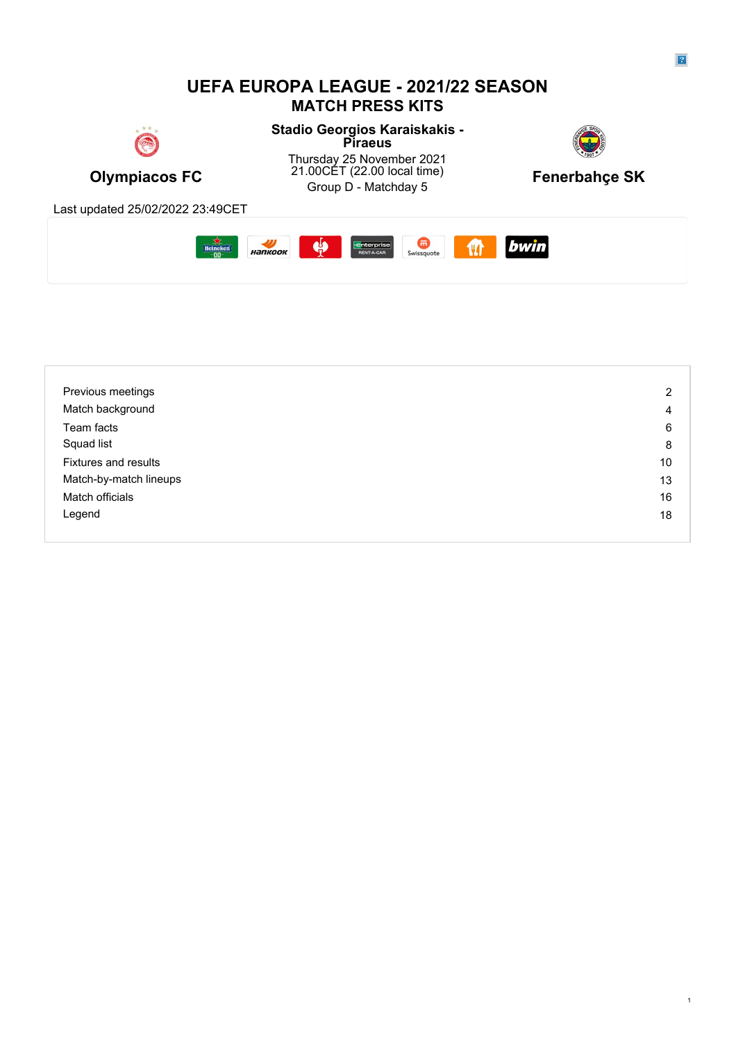# **UEFA EUROPA LEAGUE - 2021/22 SEASON MATCH PRESS KITS**



**Stadio Georgios Karaiskakis - Piraeus Piraeus** 



**Olympiacos FC** 21.00CET (22.00 local time) Fenerbahçe SK<br>Group D - Matchday 5 Thursday 25 November 2021 21.00CET (22.00 local time) Group D - Matchday 5 **Fenerbahçe SK**



Last updated 25/02/2022 23:49CET



| Previous meetings           | 2  |
|-----------------------------|----|
| Match background            | 4  |
| Team facts                  | 6  |
| Squad list                  | 8  |
| <b>Fixtures and results</b> | 10 |
| Match-by-match lineups      | 13 |
| Match officials             | 16 |
| Legend                      | 18 |
|                             |    |

1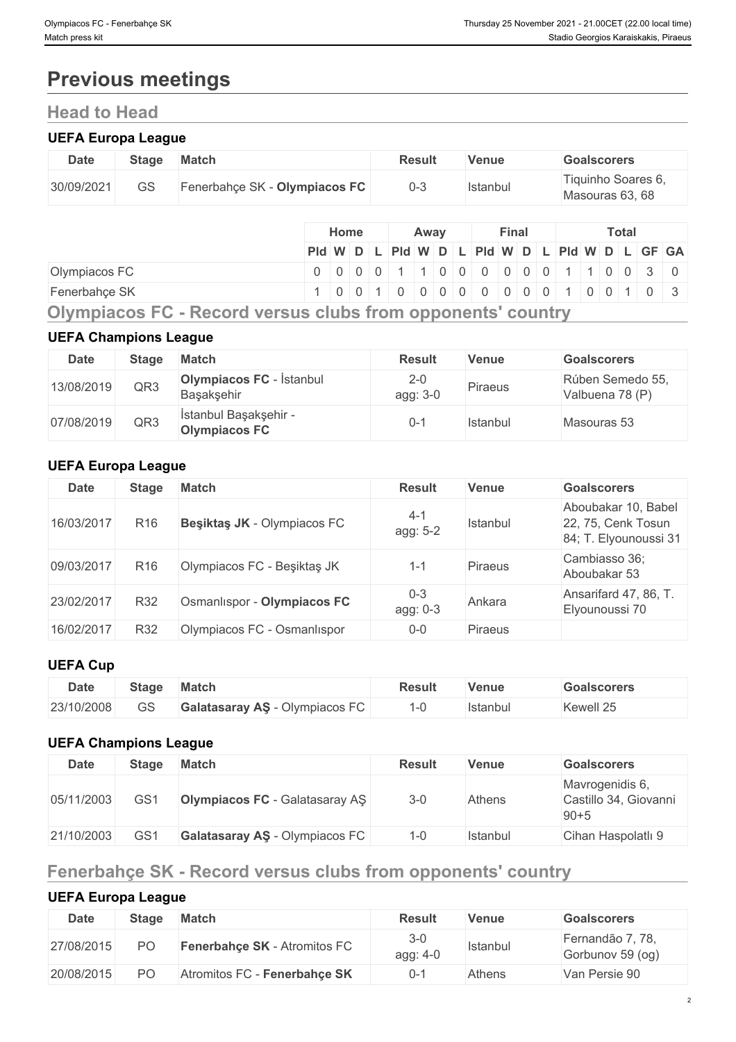# **Previous meetings**

# **Head to Head**

# **UEFA Europa League**

| <b>Date</b>   | <b>Stage</b> | <b>Match</b> |                               |      |             |  | <b>Result</b>  |                               | <b>Venue</b> |              |  |  | Goalscorers  |                                       |                                               |
|---------------|--------------|--------------|-------------------------------|------|-------------|--|----------------|-------------------------------|--------------|--------------|--|--|--------------|---------------------------------------|-----------------------------------------------|
| 30/09/2021    | <b>GS</b>    |              | Fenerbahçe SK - Olympiacos FC |      |             |  | $0 - 3$        |                               | Istanbul     |              |  |  |              | Tiquinho Soares 6,<br>Masouras 63, 68 |                                               |
|               |              |              |                               | Home |             |  | Away           |                               |              | <b>Final</b> |  |  | <b>Total</b> |                                       |                                               |
|               |              |              |                               |      |             |  |                |                               |              |              |  |  |              |                                       | PId W D L PId W D L PId W D L PId W D L GF GA |
| Olympiacos FC |              |              |                               |      | $0 0 0 0 0$ |  | $\blacksquare$ | 1   0   0   0   0   0   0   1 |              |              |  |  |              |                                       | 10030                                         |

Fenerbahçe SK 1 0 0 1 0 0 0 0 0 0 0 0 1 0 0 1 0 3

**Olympiacos FC - Record versus clubs from opponents' country**

# **UEFA Champions League**

| <b>Date</b> | <b>Stage</b> | Match                                         | <b>Result</b>       | <b>Venue</b> | <b>Goalscorers</b>                  |
|-------------|--------------|-----------------------------------------------|---------------------|--------------|-------------------------------------|
| 13/08/2019  | QR3          | <b>Olympiacos FC</b> - İstanbul<br>Başakşehir | $2 - 0$<br>agg: 3-0 | Piraeus      | Rúben Semedo 55,<br>Valbuena 78 (P) |
| 07/08/2019  | QR3          | İstanbul Başakşehir -<br><b>Olympiacos FC</b> | $0 - 1$             | Istanbul     | Masouras 53                         |

# **UEFA Europa League**

| <b>Date</b> | <b>Stage</b>    | <b>Match</b>                | <b>Result</b>       | <b>Venue</b>   | <b>Goalscorers</b>                                                 |
|-------------|-----------------|-----------------------------|---------------------|----------------|--------------------------------------------------------------------|
| 16/03/2017  | R <sub>16</sub> | Besiktas JK - Olympiacos FC | $4 - 1$<br>agg: 5-2 | Istanbul       | Aboubakar 10, Babel<br>22, 75, Cenk Tosun<br>84; T. Elyounoussi 31 |
| 09/03/2017  | R <sub>16</sub> | Olympiacos FC - Beşiktaş JK | $1 - 1$             | <b>Piraeus</b> | Cambiasso 36;<br>Aboubakar 53                                      |
| 23/02/2017  | R32             | Osmanlispor - Olympiacos FC | $0 - 3$<br>agg: 0-3 | Ankara         | Ansarifard 47, 86, T.<br>Elyounoussi 70                            |
| 16/02/2017  | R32             | Olympiacos FC - Osmanlıspor | $0 - 0$             | <b>Piraeus</b> |                                                                    |

# **UEFA Cup**

| <b>Date</b> | Stage | <b>Match</b>                                                                 | Result | <b>Venue</b> | <b>Goalscorers</b>      |
|-------------|-------|------------------------------------------------------------------------------|--------|--------------|-------------------------|
| 23/10/2008  | GS    | $-\sim$<br>Olympiacos F<br><b>Galatasaray AS</b><br>$\overline{\phantom{0}}$ |        | stanbu.      | $\sim$ $-$<br>Kewell 25 |

# **UEFA Champions League**

| <b>Date</b> | <b>Stage</b> | <b>Match</b>                          | <b>Result</b> | <b>Venue</b> | <b>Goalscorers</b>                                   |
|-------------|--------------|---------------------------------------|---------------|--------------|------------------------------------------------------|
| 05/11/2003  | GS1          | <b>Olympiacos FC</b> - Galatasaray AS | $3-0$         | Athens       | Mavrogenidis 6,<br>Castillo 34, Giovanni<br>$90 + 5$ |
| 21/10/2003  | GS1          | Galatasaray AS - Olympiacos FC        | 1-0           | Istanbul     | Cihan Haspolatlı 9                                   |

# **Fenerbahçe SK - Record versus clubs from opponents' country**

# **UEFA Europa League**

| Date       | Stage          | <b>Match</b>                        | <b>Result</b>       | Venue           | <b>Goalscorers</b>                   |
|------------|----------------|-------------------------------------|---------------------|-----------------|--------------------------------------|
| 27/08/2015 | P∩             | <b>Fenerbahce SK - Atromitos FC</b> | $3 - 0$<br>agg: 4-0 | <b>Istanbul</b> | Fernandão 7, 78,<br>Gorbunov 59 (og) |
| 20/08/2015 | P <sub>O</sub> | Atromitos FC - Fenerbahce SK        | 0-1                 | Athens          | Van Persie 90                        |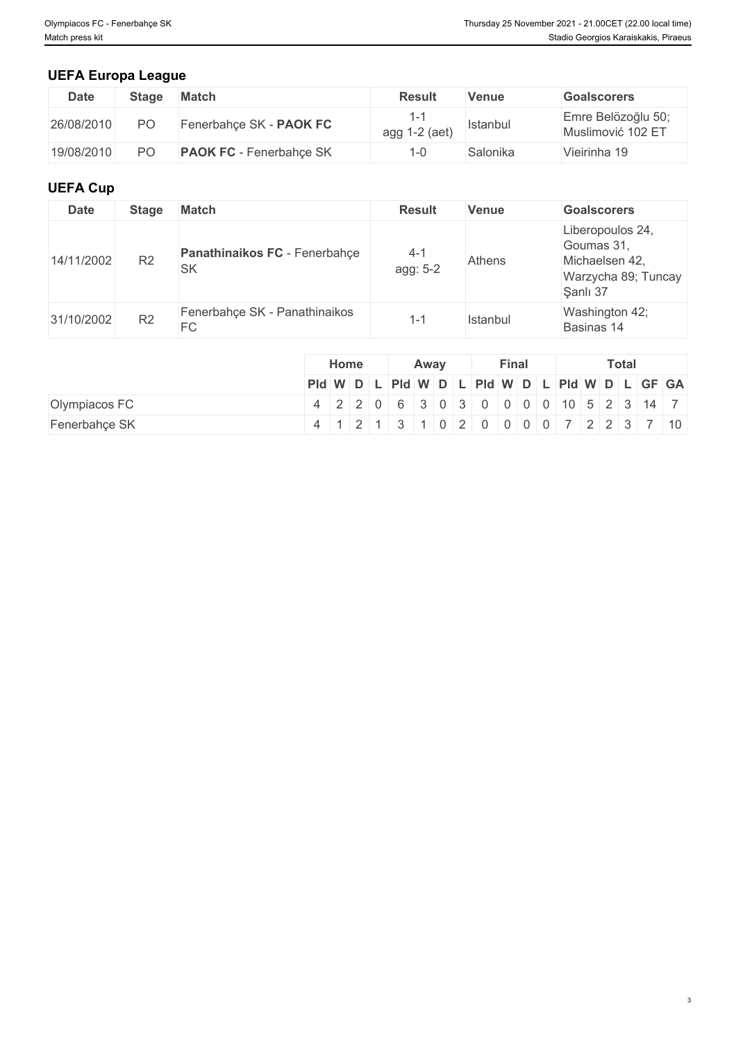# **UEFA Europa League**

| <b>Date</b> | <b>Stage</b>   | <b>Match</b>                   | Result        | Venue    | <b>Goalscorers</b>                      |
|-------------|----------------|--------------------------------|---------------|----------|-----------------------------------------|
| 26/08/2010  | PO             | Fenerbahce SK - PAOK FC        | agg 1-2 (aet) | Istanbul | Emre Belözoğlu 50;<br>Muslimović 102 ET |
| 19/08/2010  | D <sub>O</sub> | <b>PAOK FC</b> - Fenerbahce SK |               | Salonika | Vieirinha 19                            |

# **UEFA Cup**

| <b>Date</b> | <b>Stage</b>   | <b>Match</b>                               | <b>Result</b>       | <b>Venue</b>  | <b>Goalscorers</b>                                                                  |
|-------------|----------------|--------------------------------------------|---------------------|---------------|-------------------------------------------------------------------------------------|
| 14/11/2002  | R <sub>2</sub> | Panathinaikos FC - Fenerbahçe<br><b>SK</b> | $4 - 1$<br>agg: 5-2 | <b>Athens</b> | Liberopoulos 24,<br>Goumas 31,<br>Michaelsen 42,<br>Warzycha 89; Tuncay<br>Sanlı 37 |
| 31/10/2002  | R <sub>2</sub> | Fenerbahçe SK - Panathinaikos<br>FC        | 1-1                 | Istanbul      | Washington 42;<br>Basinas 14                                                        |

|               |  | Home |  |  | Away |  |  | Final |  |  | <b>Total</b> |  |  |  |  |                                                         |
|---------------|--|------|--|--|------|--|--|-------|--|--|--------------|--|--|--|--|---------------------------------------------------------|
|               |  |      |  |  |      |  |  |       |  |  |              |  |  |  |  | PId W D L PId W D L PId W D L PId W D L PId W D L GF GA |
| Olympiacos FC |  |      |  |  |      |  |  |       |  |  |              |  |  |  |  | 4 2 2 0 6 3 0 3 0 0 0 0 0 10 5 2 3 14 7                 |
| Fenerbahçe SK |  |      |  |  |      |  |  |       |  |  |              |  |  |  |  | 4 1 2 1 3 1 0 2 0 0 0 0 7 2 2 3 7 10                    |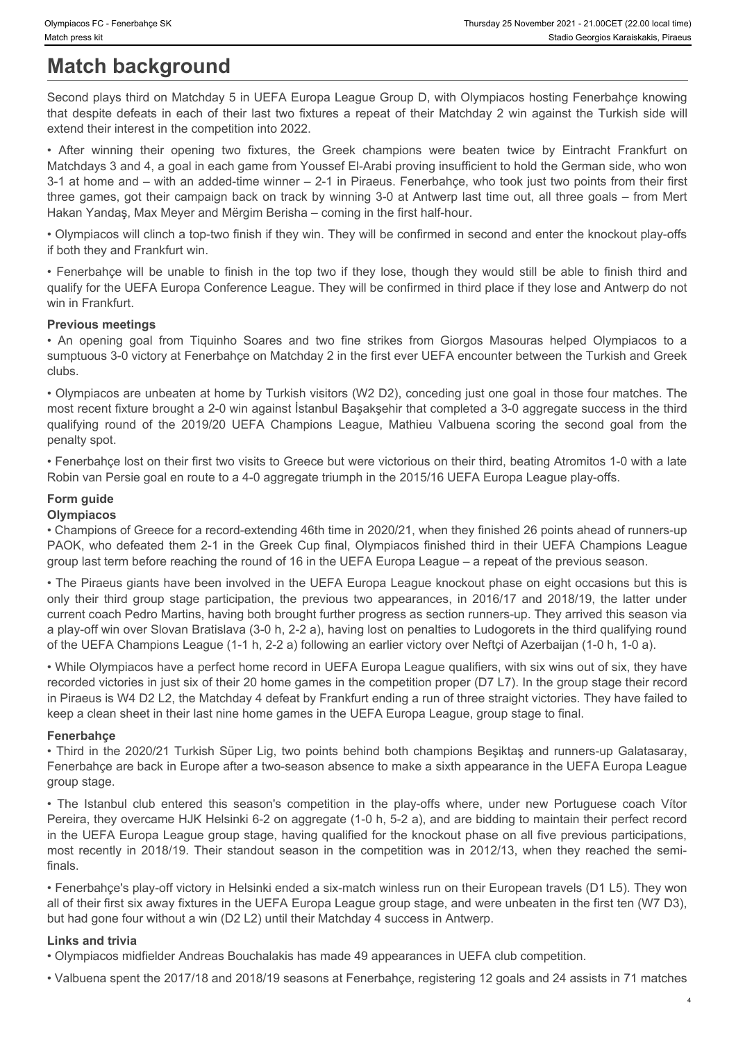# **Match background**

Second plays third on Matchday 5 in UEFA Europa League Group D, with Olympiacos hosting Fenerbahçe knowing that despite defeats in each of their last two fixtures a repeat of their Matchday 2 win against the Turkish side will extend their interest in the competition into 2022.

Four States Four Entertaince SK Franchine States States Manufactures States States States States States States States States States States States States States States States States States States States States States States Matchdays 3 and 4, a goal in each game from Youssef El-Arabi proving insufficient to hold the German side, who won 3-1 at home and – with an added-time winner – 2-1 in Piraeus. Fenerbahçe, who took just two points from their first three games, got their campaign back on track by winning 3-0 at Antwerp last time out, all three goals – from Mert Hakan Yandaş, Max Meyer and Mërgim Berisha – coming in the first half-hour. Express FC - Fenerbahçe SK<br> **Match background**<br>
Second plays third on Matchday 5 in UEFA Europa League Group D, with Olympiacos hosting Fenerbahçe knowing<br>
Second plays third on Matchday 5 in UEFA Europa League Group D, wi **Shuriass FC** - Fremediate SK<br> **Shuring Control and Control of Times An OFF A Europa League Group D, with Olympiacos hossing Fenerbahçe knowing<br>
Second plays third on Matchday 5 in UEFA Europa League Group D, with Olympiac** Dimensis FC: Fencelays 84<br>
Match background<br>
Second plays third on Matchday 5 in UEFA Europa League Group D, with Olympiacos hosting Fenetbahgs knowing<br>
Second plays third on Matchday 5 in UEFA Europa League Group D, with only the membrane of the membrane of the membrane of the properties of the latter of the properties of the properties of the properties of the properties of the previous two appearances of the previous two appearances of t

• Olympiacos will clinch a top-two finish if they win. They will be confirmed in second and enter the knockout play-offs if both they and Frankfurt win.

qualify for the UEFA Europa Conference League. They will be confirmed in third place if they lose and Antwerp do not win in Frankfurt.

#### **Previous meetings**

sumptuous 3-0 victory at Fenerbahçe on Matchday 2 in the first ever UEFA encounter between the Turkish and Greek clubs.

• Olympiacos are unbeaten at home by Turkish visitors (W2 D2), conceding just one goal in those four matches. The most recent fixture brought a 2-0 win against İstanbul Başakşehir that completed a 3-0 aggregate success in the third penalty spot.

• Fenerbahçe lost on their first two visits to Greece but were victorious on their third, beating Atromitos 1-0 with a late Robin van Persie goal en route to a 4-0 aggregate triumph in the 2015/16 UEFA Europa League play-offs.

# **Form guide**

#### **Olympiacos**

• Champions of Greece for a record-extending 46th time in 2020/21, when they finished 26 points ahead of runners-up PAOK, who defeated them 2-1 in the Greek Cup final, Olympiacos finished third in their UEFA Champions League group last term before reaching the round of 16 in the UEFA Europa League – a repeat of the previous season.

• The Piraeus giants have been involved in the UEFA Europa League knockout phase on eight occasions but this is current coach Pedro Martins, having both brought further progress as section runners-up. They arrived this season via a play-off win over Slovan Bratislava (3-0 h, 2-2 a), having lost on penalties to Ludogorets in the third qualifying round of the UEFA Champions League (1-1 h, 2-2 a) following an earlier victory over Neftçi of Azerbaijan (1-0 h, 1-0 a). • Flamentary heat the Istanbul club enter and the Istanbul club enter and the Istanbul continue in the Island Yendeb in the Island Yendeb in the Island Yendeb in the Island Yendeb in the play-offs from they are not have be most recent the most recent the most relation to the properties and the competition in the competition in the competition in the competition of the competition of the competition of the competition was in the competition w

• While Olympiacos have a perfect home record in UEFA Europa League qualifiers, with six wins out of six, they have recorded victories in just six of their 20 home games in the competition proper (D7 L7). In the group stage their record in Piraeus is W4 D2 L2, the Matchday 4 defeat by Frankfurt ending a run of three straight victories. They have failed to keep a clean sheet in their last nine home games in the UEFA Europa League, group stage to final.

#### **Fenerbahçe**

• Third in the 2020/21 Turkish Süper Lig, two points behind both champions Beşiktaş and runners-up Galatasaray, Fenerbahçe are back in Europe after a two-season absence to make a sixth appearance in the UEFA Europa League group stage.

Pereira, they overcame HJK Helsinki 6-2 on aggregate (1-0 h, 5-2 a), and are bidding to maintain their perfect record in the UEFA Europa League group stage, having qualified for the knockout phase on all five previous participations, finals.

• Fenerbahçe's play-off victory in Helsinki ended a six-match winless run on their European travels (D1 L5). They won all of their first six away fixtures in the UEFA Europa League group stage, and were unbeaten in the first ten (W7 D3), but had gone four without a win (D2 L2) until their Matchday 4 success in Antwerp.

#### **Links and trivia**

• Olympiacos midfielder Andreas Bouchalakis has made 49 appearances in UEFA club competition.

• Valbuena spent the 2017/18 and 2018/19 seasons at Fenerbahçe, registering 12 goals and 24 assists in 71 matches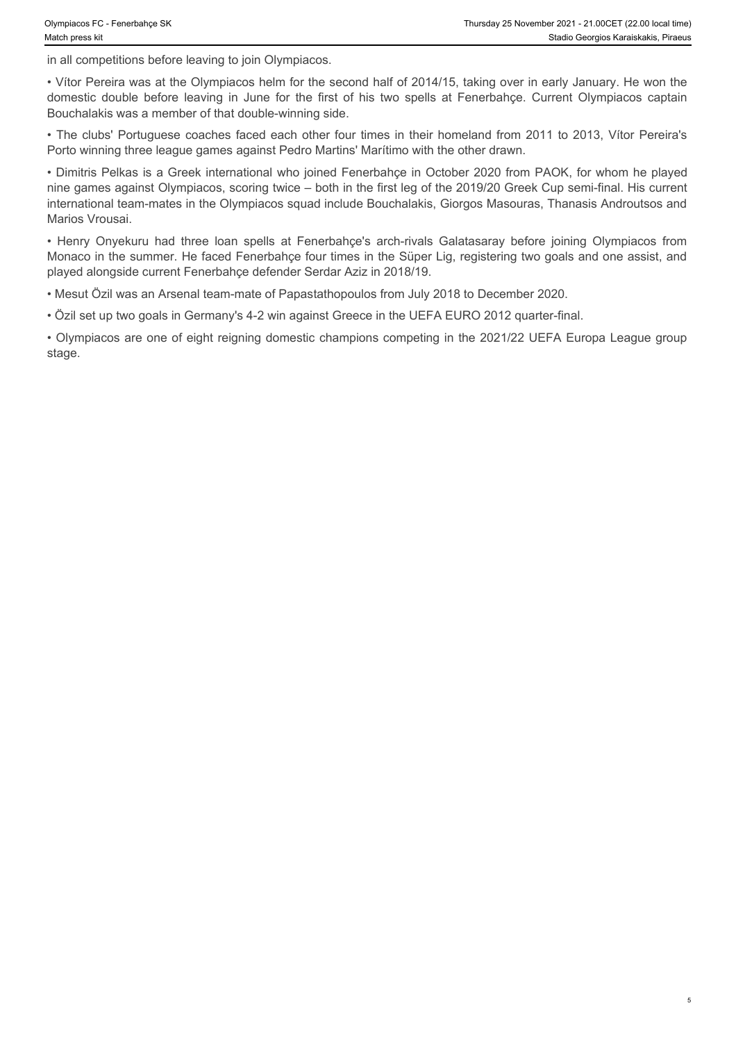in all competitions before leaving to join Olympiacos.

• Vítor Pereira was at the Olympiacos helm for the second half of 2014/15, taking over in early January. He won the Bouchalakis was a member of that double-winning side.

• The clubs' Portuguese coaches faced each other four times in their homeland from 2011 to 2013, Vítor Pereira's Porto winning three league games against Pedro Martins' Marítimo with the other drawn.

Dlympiacos FC - Fenerbahçe SK<br>
Match press kit<br>
in all competitions before leaving to join Olympiacos.<br>
in all competitions before leaving to join Olympiacos.<br>
• VItor Pereira was at the Olympiacos helm for the second half • Dimitris Pelkas is a Greek international who joined Fenerbahçe in October 2020 from PAOK, for whom he played nine games against Olympiacos, scoring twice – both in the first leg of the 2019/20 Greek Cup semi-final. His current international team-mates in the Olympiacos squad include Bouchalakis, Giorgos Masouras, Thanasis Androutsos and Marios Vrousai. Nympiacos FC - Fenerbahy sk<br>
• Thunday 28 Newsmber 2021 - 21.00GET (22.00 tocal tens)<br>
• Hall competitions before leaving to join Olympiacos.<br>
• Vitor Pereira was at the Olympiacos helm for the first of his two spells at

Monaco in the summer. He faced Fenerbahçe four times in the Süper Lig, registering two goals and one assist, and played alongside current Fenerbahçe defender Serdar Aziz in 2018/19.

• Mesut Özil was an Arsenal team-mate of Papastathopoulos from July 2018 to December 2020.

• Özil set up two goals in Germany's 4-2 win against Greece in the UEFA EURO 2012 quarter-final.

• Olympiacos are one of eight reigning domestic champions competing in the 2021/22 UEFA Europa League group stage.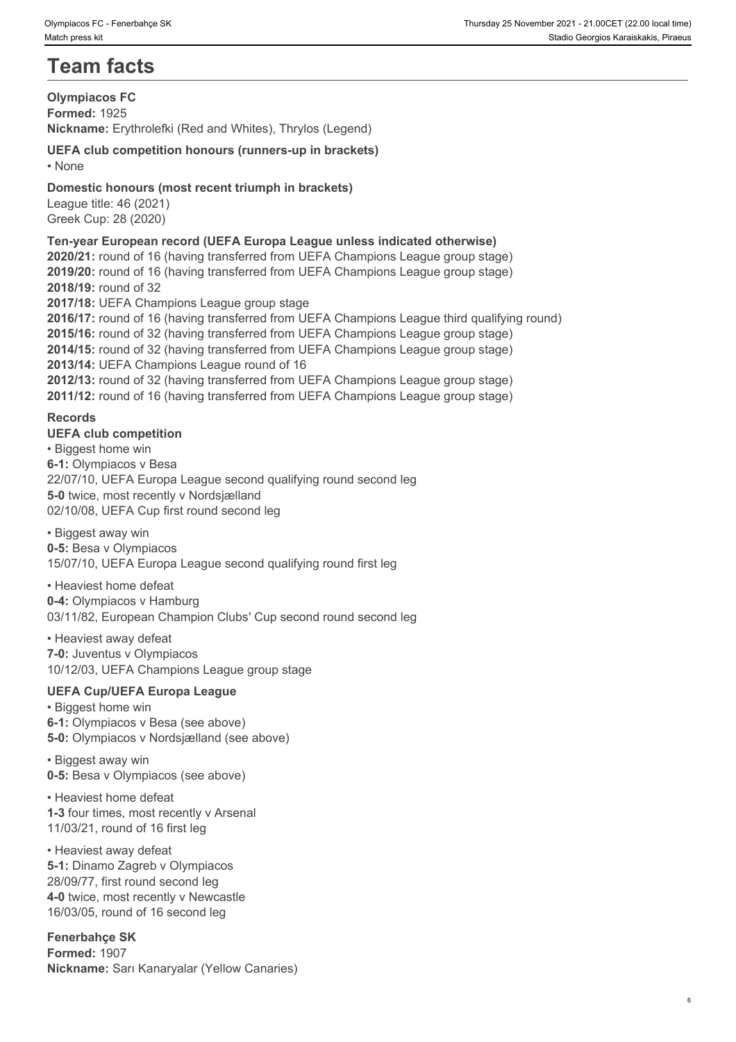# **Team facts**

#### **Olympiacos FC Formed:** 1925 **Nickname:** Erythrolefki (Red and Whites), Thrylos (Legend)

### **UEFA club competition honours (runners-up in brackets)** • None **blue** and **blue** and **blue** and **blue** and **blue** and **blue** and **blue** and **blue** and **blue** and **blue** and **blue** and **blue** and **blue** and **blue** and **blue** and **blue** and **blue** and **blue** and **blue** and **blue**

# **Domestic honours (most recent triumph in brackets)**

League title: 46 (2021) Greek Cup: 28 (2020)

### **Ten-year European record (UEFA Europa League unless indicated otherwise)**

**2020/21:** round of 16 (having transferred from UEFA Champions League group stage) **2019/20:** round of 16 (having transferred from UEFA Champions League group stage) **2018/19:** round of 32 **2017/18:** UEFA Champions League group stage **2016/17:** round of 16 (having transferred from UEFA Champions League third qualifying round) **2015/16:** round of 32 (having transferred from UEFA Champions League group stage) **2014/15:** round of 32 (having transferred from UEFA Champions League group stage) **2013/14:** UEFA Champions League round of 16 **2012/13:** round of 32 (having transferred from UEFA Champions League group stage) **2011/12:** round of 16 (having transferred from UEFA Champions League group stage) **Records**

**UEFA club competition**  • Biggest home win **6-1:** Olympiacos v Besa 22/07/10, UEFA Europa League second qualifying round second leg **5-0** twice, most recently v Nordsjælland 02/10/08, UEFA Cup first round second leg

#### • Biggest away win

**0-5:** Besa v Olympiacos 15/07/10, UEFA Europa League second qualifying round first leg

# • Heaviest home defeat

**0-4:** Olympiacos v Hamburg 03/11/82, European Champion Clubs' Cup second round second leg

#### • Heaviest away defeat

**7-0:** Juventus v Olympiacos 10/12/03, UEFA Champions League group stage

# **UEFA Cup/UEFA Europa League**

• Biggest home win **6-1:** Olympiacos v Besa (see above) **5-0:** Olympiacos v Nordsjælland (see above)

• Biggest away win **0-5:** Besa v Olympiacos (see above)

• Heaviest home defeat **1-3** four times, most recently v Arsenal 11/03/21, round of 16 first leg

#### • Heaviest away defeat **5-1:** Dinamo Zagreb v Olympiacos 28/09/77, first round second leg **4-0** twice, most recently v Newcastle 16/03/05, round of 16 second leg

**Fenerbahçe SK Formed:** 1907 **Nickname:** Sarı Kanaryalar (Yellow Canaries)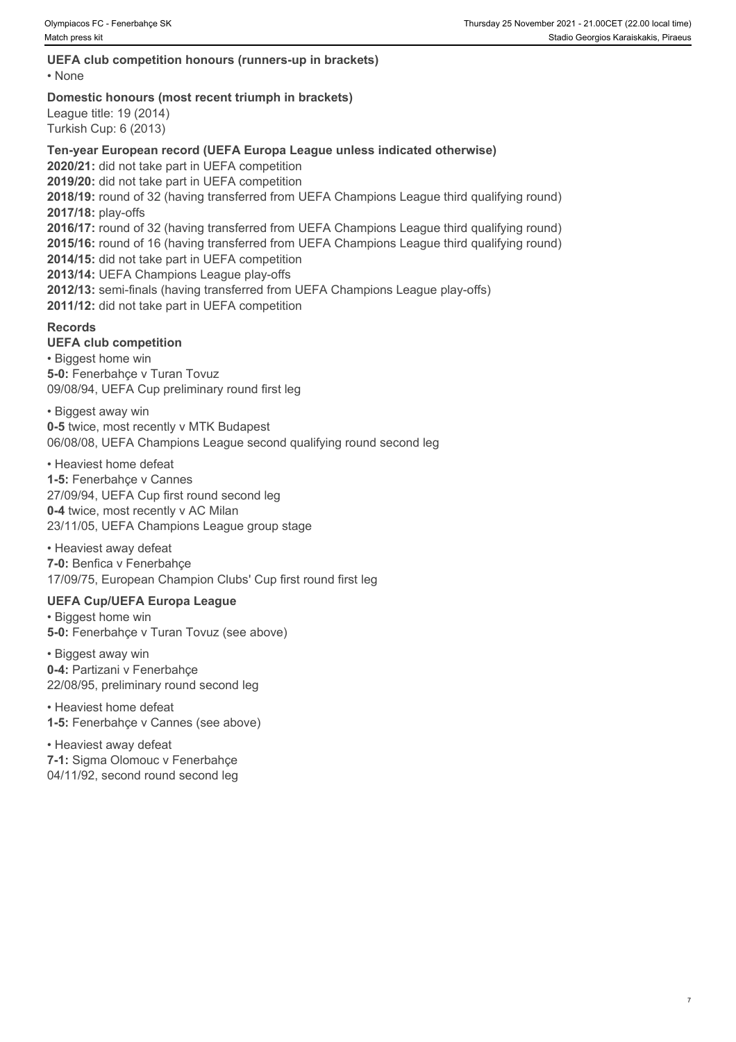# **UEFA club competition honours (runners-up in brackets)**

• None **but the contract of the contract of the contract of the contract of the contract of the contract of the contract of the contract of the contract of the contract of the contract of the contract of the contract of th** 

#### **Domestic honours (most recent triumph in brackets)**

League title: 19 (2014) Turkish Cup: 6 (2013)

### **Ten-year European record (UEFA Europa League unless indicated otherwise)**

**2020/21:** did not take part in UEFA competition **2019/20:** did not take part in UEFA competition **2018/19:** round of 32 (having transferred from UEFA Champions League third qualifying round) **2017/18:** play-offs **2016/17:** round of 32 (having transferred from UEFA Champions League third qualifying round) **2015/16:** round of 16 (having transferred from UEFA Champions League third qualifying round) **2014/15:** did not take part in UEFA competition **2013/14:** UEFA Champions League play-offs **2012/13:** semi-finals (having transferred from UEFA Champions League play-offs) **2011/12:** did not take part in UEFA competition

# **Records**

#### **UEFA club competition**

• Biggest home win **5-0:** Fenerbahçe v Turan Tovuz 09/08/94, UEFA Cup preliminary round first leg

• Biggest away win **0-5** twice, most recently v MTK Budapest 06/08/08, UEFA Champions League second qualifying round second leg

• Heaviest home defeat **1-5:** Fenerbahçe v Cannes 27/09/94, UEFA Cup first round second leg **0-4** twice, most recently v AC Milan 23/11/05, UEFA Champions League group stage

• Heaviest away defeat **7-0:** Benfica v Fenerbahçe 17/09/75, European Champion Clubs' Cup first round first leg

# **UEFA Cup/UEFA Europa League**

• Biggest home win **5-0:** Fenerbahçe v Turan Tovuz (see above)

• Biggest away win **0-4:** Partizani v Fenerbahçe 22/08/95, preliminary round second leg

• Heaviest home defeat **1-5:** Fenerbahçe v Cannes (see above)

• Heaviest away defeat **7-1:** Sigma Olomouc v Fenerbahçe 04/11/92, second round second leg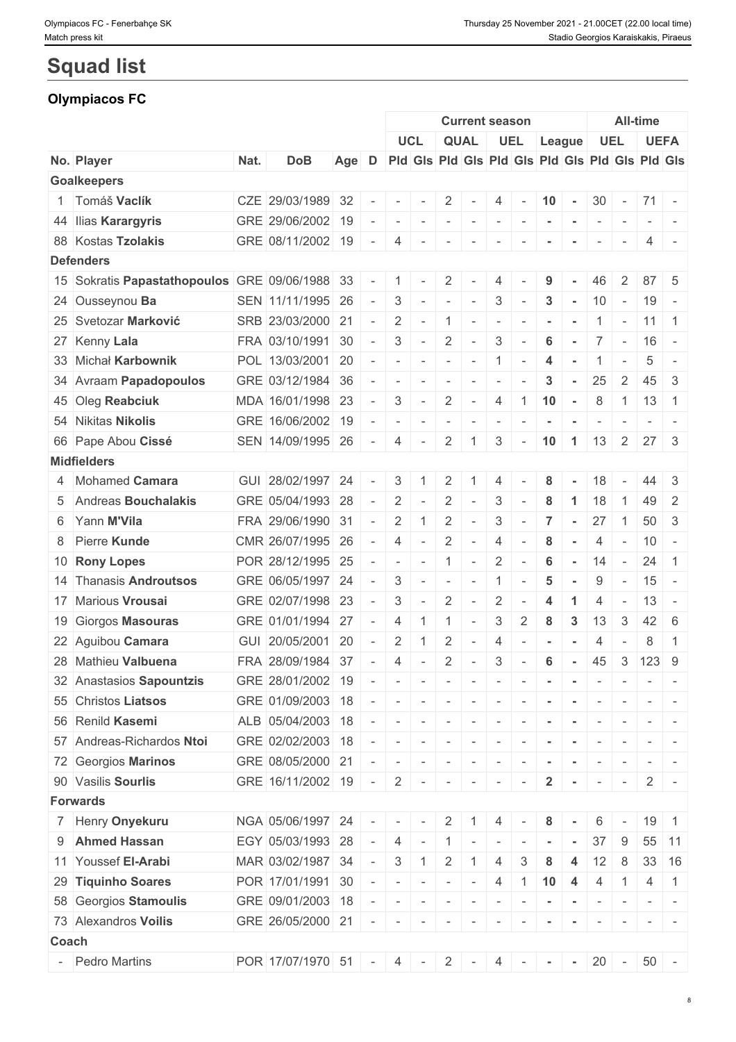# **Squad list**

# **Olympiacos FC**

|       |                                                      |      |                                                 |       |                |                                                                                                                                                                                                                                                                                                                                                                                                                                                                                               |                          |                   | <b>Current season</b>    |                                         |                             |                |                |                                                                  |                          | All-time            |                |
|-------|------------------------------------------------------|------|-------------------------------------------------|-------|----------------|-----------------------------------------------------------------------------------------------------------------------------------------------------------------------------------------------------------------------------------------------------------------------------------------------------------------------------------------------------------------------------------------------------------------------------------------------------------------------------------------------|--------------------------|-------------------|--------------------------|-----------------------------------------|-----------------------------|----------------|----------------|------------------------------------------------------------------|--------------------------|---------------------|----------------|
|       |                                                      |      |                                                 |       |                | <b>UCL</b>                                                                                                                                                                                                                                                                                                                                                                                                                                                                                    |                          | <b>QUAL</b>       |                          | UEL                                     |                             |                | League         |                                                                  | <b>UEL</b>               | <b>UEFA</b>         |                |
|       | No. Player                                           | Nat. | <b>DoB</b>                                      | Age D |                | Pid Gis Pid Gis Pid Gis Pid Gis Pid Gis Pid Gis                                                                                                                                                                                                                                                                                                                                                                                                                                               |                          |                   |                          |                                         |                             |                |                |                                                                  |                          |                     |                |
|       | <b>Goalkeepers</b>                                   |      |                                                 |       |                |                                                                                                                                                                                                                                                                                                                                                                                                                                                                                               |                          |                   |                          |                                         |                             |                |                |                                                                  |                          |                     |                |
|       | 1 Tomáš Vaclík                                       |      | CZE 29/03/1989 32                               |       | $\sim$         | $\sim$                                                                                                                                                                                                                                                                                                                                                                                                                                                                                        | $\sim$                   | 2                 | $\sim$                   | $4 -$                                   |                             | $10 -$         |                |                                                                  |                          | $30 - 71 -$         |                |
|       | 44 Ilias Karargyris                                  |      | GRE 29/06/2002 19                               |       | $\sim$         | $ -$                                                                                                                                                                                                                                                                                                                                                                                                                                                                                          |                          | .                 |                          |                                         |                             |                | $\sim$         | $\sim$                                                           | $\sim$                   |                     | $-1$ $-1$      |
|       | 88 Kostas Tzolakis                                   |      | GRE 08/11/2002 19 -                             |       |                | $4 -$                                                                                                                                                                                                                                                                                                                                                                                                                                                                                         |                          | $\sim$            | $\sim$                   | $\overline{\phantom{a}}$                |                             |                |                |                                                                  |                          |                     |                |
|       | <b>Defenders</b>                                     |      |                                                 |       |                |                                                                                                                                                                                                                                                                                                                                                                                                                                                                                               |                          |                   |                          |                                         |                             |                |                |                                                                  |                          |                     |                |
|       | 15 Sokratis Papastathopoulos GRE 09/06/1988 33 - 1 - |      |                                                 |       |                |                                                                                                                                                                                                                                                                                                                                                                                                                                                                                               |                          | $\overline{2}$    | $\sim$                   | 4                                       |                             | 9              |                | 46                                                               | 2                        | $87 \mid 5$         |                |
|       | 24 Ousseynou Ba                                      |      | SEN 11/11/1995 26                               |       | $\sim$ $ \sim$ | $3$ -                                                                                                                                                                                                                                                                                                                                                                                                                                                                                         |                          | $1 - 1 - 1 = 1$   |                          | $\mathcal{S}$                           | $\sim$                      | 3              |                | 10                                                               | $\sim$                   | $19 -$              |                |
|       | 25 Svetozar Marković                                 |      | SRB 23/03/2000 21                               |       | $\sim$         | $\overline{2}$                                                                                                                                                                                                                                                                                                                                                                                                                                                                                | $\sim$                   | $\overline{1}$    | $\sim$                   | $\sim$                                  | $\sim$                      | $\sim$         | $\sim$         |                                                                  | $\overline{\phantom{a}}$ | $11 \mid 1$         |                |
|       | 27 Kenny Lala                                        |      | FRA 03/10/1991 30 -                             |       |                | $3$ -                                                                                                                                                                                                                                                                                                                                                                                                                                                                                         |                          | 2                 | $\sim$                   | $\mathbf{3}$                            | $\sim$                      | 6              | $\sim$         | $7 -$                                                            |                          | $16 -$              |                |
|       | 33 Michał Karbownik                                  |      | POL 13/03/2001 20                               |       | $\sim$         | $\sim$                                                                                                                                                                                                                                                                                                                                                                                                                                                                                        | $\sim$                   | $\sim$            | $\sim$                   | 1                                       | $\sim$                      | 4              |                |                                                                  | $\overline{\phantom{a}}$ | 5                   |                |
|       | 34 Avraam Papadopoulos                               |      | GRE 03/12/1984 36                               |       | $\sim$         | $\sim$                                                                                                                                                                                                                                                                                                                                                                                                                                                                                        |                          | $\sim$            | $\sim$                   | $\overline{\phantom{a}}$                |                             | 3              | $\sim$         | 25                                                               | 2                        | $45 \mid 3$         |                |
|       | 45 Oleg Reabciuk                                     |      | MDA 16/01/1998 23                               |       | $\sim$ $-$     | $\mathbf{3}$                                                                                                                                                                                                                                                                                                                                                                                                                                                                                  | $\sim$ $-$               | 2                 | $\sim$ $-$               |                                         | $4 \mid 1 \mid$             | 10             | $\sim$         | 8                                                                | $\overline{1}$           | $13 \quad 1$        |                |
|       | 54 Nikitas Nikolis                                   |      | GRE 16/06/2002 19                               |       | $\sim$         | $\sim$                                                                                                                                                                                                                                                                                                                                                                                                                                                                                        | $\sim$                   | $\sim$            | $\sim$                   | $\mathbb{E}[\mathcal{F}^{\mathcal{A}}]$ | $\sim$                      | $\sim$         | $\sim$         | $\sim$                                                           | $\sim$                   |                     |                |
|       | 66 Pape Abou Cissé                                   |      | SEN 14/09/1995 26                               |       | $\sim$ $\sim$  | 4                                                                                                                                                                                                                                                                                                                                                                                                                                                                                             | $\sim$                   | $\overline{2}$    | 1                        | 3                                       | $\sim$                      | 10             | $\overline{1}$ | 13                                                               | $\overline{2}$           | 27 3                |                |
|       | <b>Midfielders</b>                                   |      |                                                 |       |                |                                                                                                                                                                                                                                                                                                                                                                                                                                                                                               |                          |                   |                          |                                         |                             |                |                |                                                                  |                          |                     |                |
|       | 4 Mohamed Camara                                     |      | GUI 28/02/1997 24                               |       | $\sim$         | $3\phantom{.0}$                                                                                                                                                                                                                                                                                                                                                                                                                                                                               | $-1$                     | $\overline{2}$    |                          |                                         |                             | 8              |                | 18                                                               |                          |                     | $\vert$ 3      |
|       | 5 Andreas Bouchalakis                                |      | GRE 05/04/1993 28                               |       | $\sim$         | 2                                                                                                                                                                                                                                                                                                                                                                                                                                                                                             | $\overline{\phantom{a}}$ | 2                 | $\sim$                   | 3                                       | $\sim$                      | 8              |                | 18                                                               |                          | 49                  | -2             |
|       | 6 Yann M'Vila                                        |      | FRA 29/06/1990 31                               |       | $\sim$         | $\overline{2}$                                                                                                                                                                                                                                                                                                                                                                                                                                                                                | $\overline{1}$           | 2                 | $\sim$                   | 3                                       | $\overline{\phantom{a}}$    | $\overline{7}$ | $\sim$         | 27                                                               | $\overline{1}$           | 50                  | 3              |
|       | 8 Pierre Kunde                                       |      | CMR 26/07/1995 26                               |       | $\sim$ $-$     | $\overline{4}$                                                                                                                                                                                                                                                                                                                                                                                                                                                                                | $\overline{\phantom{a}}$ | 2                 | $\sim$                   | 4                                       | $\overline{\phantom{a}}$    | 8              |                | 4                                                                | $\sim$                   | 10                  | $\sim$         |
|       | 10 Rony Lopes                                        |      | POR 28/12/1995 25                               |       | $\sim$         | $\sim$                                                                                                                                                                                                                                                                                                                                                                                                                                                                                        | $\sim$                   | $\overline{1}$    | $\sim$                   | $\overline{2}$                          | $\sim$                      | 6              | $\sim$         | 14                                                               | $\sim$                   | 24                  | $\overline{1}$ |
|       | 14 Thanasis Androutsos                               |      | GRE 06/05/1997 24                               |       | $\sim$         | 3                                                                                                                                                                                                                                                                                                                                                                                                                                                                                             | $\sim$                   | $\sim$            | $\sim$                   | $\overline{1}$                          |                             | 5              |                | 9                                                                |                          | 15                  | $\overline{a}$ |
|       | 17 Marious Vrousai                                   |      | GRE 02/07/1998 23                               |       | $\sim$         | 3                                                                                                                                                                                                                                                                                                                                                                                                                                                                                             | $\overline{\phantom{a}}$ | 2                 | $\sim$                   | $\overline{2}$                          | $\overline{\phantom{a}}$    | 4              |                | 4                                                                |                          | 13 <sup>1</sup>     | $\sim$         |
|       | 19 Giorgos Masouras                                  |      | GRE 01/01/1994 27                               |       | $\sim$         | $\overline{4}$                                                                                                                                                                                                                                                                                                                                                                                                                                                                                | $\mathbf{1}$             | $\overline{1}$    | $\sim$                   | 3                                       | $\overline{2}$              | 8              | 3              | 13                                                               | $\overline{3}$           | $42 \quad 6$        |                |
|       | 22 Aguibou Camara                                    |      | GUI 20/05/2001 20                               |       | $\sim$         | 2                                                                                                                                                                                                                                                                                                                                                                                                                                                                                             |                          | 2                 | $\overline{\phantom{a}}$ | $\overline{4}$                          |                             |                |                |                                                                  |                          | 8                   | $\overline{1}$ |
|       | 28 Mathieu Valbuena                                  |      | FRA 28/09/1984 37                               |       | $\sim$         | $\overline{4}$                                                                                                                                                                                                                                                                                                                                                                                                                                                                                | $\sim$                   | 2                 | $\sim$                   | $\mathbf{3}$                            | $\sim$                      | 6              | $\sim$         | 45                                                               |                          | $3 \mid 123 \mid 9$ |                |
|       | 32 Anastasios Sapountzis                             |      | GRE 28/01/2002 19                               |       |                | .                                                                                                                                                                                                                                                                                                                                                                                                                                                                                             |                          |                   |                          |                                         |                             |                |                |                                                                  |                          |                     |                |
|       | 55 Christos Liatsos                                  |      | GRE 01/09/2003 18                               |       | $\sim$         |                                                                                                                                                                                                                                                                                                                                                                                                                                                                                               |                          |                   |                          |                                         |                             |                |                | $\mathcal{L} = \{ \mathcal{L} \mid \mathcal{L} = \mathcal{L} \}$ |                          |                     |                |
|       | 56 Renild Kasemi                                     |      |                                                 |       |                | $\sim$ $-$                                                                                                                                                                                                                                                                                                                                                                                                                                                                                    | $\mathbf{r}$             | $\sim$ 100 $\sim$ |                          | $\mathbf{r}$                            |                             |                |                |                                                                  |                          |                     |                |
|       | 57 Andreas-Richardos Ntoi                            |      | ALB 05/04/2003 18<br>GRE 02/02/2003 18          |       | $\sim$ $-$     | $\sim$                                                                                                                                                                                                                                                                                                                                                                                                                                                                                        | $\sim$                   | $\sim$            | $\sim$                   | $\sim$                                  |                             |                |                |                                                                  |                          |                     |                |
|       |                                                      |      |                                                 |       | $\sim$ $ \sim$ | 1 - 1 - 1 - 1 - 1 - 1 -                                                                                                                                                                                                                                                                                                                                                                                                                                                                       |                          |                   |                          |                                         |                             | $\sim$         | $\sim$         |                                                                  |                          |                     |                |
|       | 72 Georgios Marinos                                  |      | GRE 08/05/2000 21                               |       | $\sim$         | $\begin{array}{ccccccccccccc} \multicolumn{2}{c}{} & \multicolumn{2}{c}{} & \multicolumn{2}{c}{} & \multicolumn{2}{c}{} & \multicolumn{2}{c}{} & \multicolumn{2}{c}{} & \multicolumn{2}{c}{} & \multicolumn{2}{c}{} & \multicolumn{2}{c}{} & \multicolumn{2}{c}{} & \multicolumn{2}{c}{} & \multicolumn{2}{c}{} & \multicolumn{2}{c}{} & \multicolumn{2}{c}{} & \multicolumn{2}{c}{} & \multicolumn{2}{c}{} & \multicolumn{2}{c}{} & \multicolumn{2}{c}{} & \multicolumn{2}{c}{} & \$         |                          |                   | the property of the con- |                                         | $\sim$                      |                |                |                                                                  |                          |                     |                |
|       | 90 Vasilis Sourlis                                   |      | GRE 16/11/2002 19 -                             |       |                |                                                                                                                                                                                                                                                                                                                                                                                                                                                                                               |                          | $2$ - - - - -     |                          |                                         | $\vert \cdot \vert = \vert$ | $\overline{2}$ | $\sim$         | $\sim$                                                           | $\sim$                   | $2$ -               |                |
|       | <b>Forwards</b>                                      |      |                                                 |       |                |                                                                                                                                                                                                                                                                                                                                                                                                                                                                                               |                          |                   |                          |                                         |                             |                |                |                                                                  |                          |                     |                |
|       | 7 Henry Onyekuru                                     |      | NGA 05/06/1997 24                               |       | $\sim$         | $\begin{array}{cccccccccc} \bullet & \bullet & \bullet & \bullet & \bullet & \bullet \end{array}$                                                                                                                                                                                                                                                                                                                                                                                             |                          | $2^{\circ}$       | $\overline{1}$           | 4                                       |                             | 8              |                | 6                                                                |                          | $19$ 1              |                |
|       | 9 Ahmed Hassan                                       |      | EGY 05/03/1993 28                               |       | $-$            | 4                                                                                                                                                                                                                                                                                                                                                                                                                                                                                             | $\sim$                   |                   |                          |                                         |                             |                |                | 37                                                               | 9                        | 55                  | $\vert$ 11     |
|       | 11 Youssef El-Arabi                                  |      | MAR 03/02/1987 34                               |       | $\sim$         | $\mathbf{3}$                                                                                                                                                                                                                                                                                                                                                                                                                                                                                  | $\overline{1}$           | $\overline{2}$    |                          |                                         | 3                           | 8              |                | 12                                                               | 8                        | 33                  | 16             |
|       | 29 Tiquinho Soares                                   |      | $POR   17/01/1991   30$ -                       |       |                | $    4$ 1                                                                                                                                                                                                                                                                                                                                                                                                                                                                                     |                          |                   |                          |                                         |                             | $10 \mid 4$    |                | 4                                                                | $\overline{1}$           | 4                   | $\overline{1}$ |
|       | 58 Georgios Stamoulis                                |      | GRE 09/01/2003 18                               |       |                | $\mathcal{A}=\{ \mathcal{A}, \mathcal{A}, \mathcal{A}, \mathcal{A}, \mathcal{A}, \mathcal{A}, \mathcal{A}, \mathcal{A}, \mathcal{A}, \mathcal{A}, \mathcal{A}, \mathcal{A}, \mathcal{A}, \mathcal{A}, \mathcal{A}, \mathcal{A}, \mathcal{A}, \mathcal{A}, \mathcal{A}, \mathcal{A}, \mathcal{A}, \mathcal{A}, \mathcal{A}, \mathcal{A}, \mathcal{A}, \mathcal{A}, \mathcal{A}, \mathcal{A}, \mathcal{A}, \mathcal{A}, \mathcal{A}, \mathcal{A}, \mathcal{A}, \mathcal{A}, \mathcal{A}, \math$ |                          |                   |                          | $\sim$                                  |                             |                |                |                                                                  |                          |                     |                |
|       | 73 Alexandros Voilis                                 |      | GRE $26/05/2000$ 21 -                           |       |                |                                                                                                                                                                                                                                                                                                                                                                                                                                                                                               | $\mathbf{r}$             | $\sim$            | $\sim$                   | $\sim$                                  |                             |                |                |                                                                  |                          |                     |                |
| Coach |                                                      |      |                                                 |       |                |                                                                                                                                                                                                                                                                                                                                                                                                                                                                                               |                          |                   |                          |                                         |                             |                |                |                                                                  |                          |                     |                |
|       | - Pedro Martins                                      |      | POR 17/07/1970 51 - 4 - 2 - 4 - - - - 20 - 50 - |       |                |                                                                                                                                                                                                                                                                                                                                                                                                                                                                                               |                          |                   |                          |                                         |                             |                |                |                                                                  |                          |                     |                |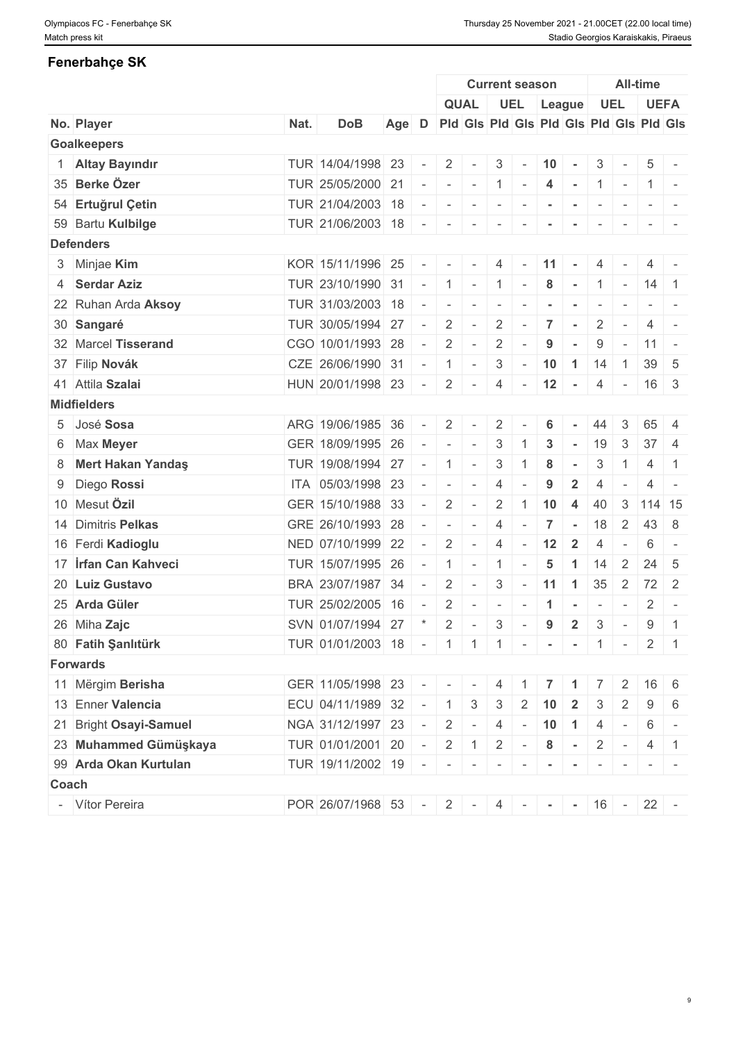# **Fenerbahçe SK**

|                             |      |                                             |       |        |                |                                         |                          | <b>Current season</b>    |                      |                      |                          |                          | <b>All-time</b>  |                          |
|-----------------------------|------|---------------------------------------------|-------|--------|----------------|-----------------------------------------|--------------------------|--------------------------|----------------------|----------------------|--------------------------|--------------------------|------------------|--------------------------|
|                             |      |                                             |       |        |                | <b>QUAL</b>                             |                          |                          |                      | UEL League           |                          | <b>UEL</b>               |                  | <b>UEFA</b>              |
| No. Player                  | Nat. | <b>DoB</b>                                  | Age D |        |                | Pid Gis Pid Gis Pid Gis Pid Gis Pid Gis |                          |                          |                      |                      |                          |                          |                  |                          |
| <b>Goalkeepers</b>          |      |                                             |       |        |                |                                         |                          |                          |                      |                      |                          |                          |                  |                          |
| 1 Altay Bayındır            |      | TUR 14/04/1998 23                           |       |        | 2              | $\sim$                                  | 3                        | $\sim$                   | 10                   | $\sim$               | 3                        | $\equiv$                 | 5                |                          |
| 35 Berke Özer               |      | TUR 25/05/2000 21                           |       |        |                | $   1$                                  |                          | $\sim$                   | $\overline{4}$       |                      | $-11 -$                  |                          |                  | $1 -$                    |
| 54 Ertuğrul Çetin           |      | TUR 21/04/2003 18                           |       |        | $\sim$         | $\overline{\phantom{a}}$                | $\sim$                   | $\sim$                   |                      |                      | $\overline{\phantom{a}}$ |                          |                  |                          |
| 59 Bartu Kulbilge           |      | TUR 21/06/2003 18                           |       | $\sim$ | $\sim$         |                                         | $\overline{\phantom{a}}$ |                          |                      |                      |                          |                          |                  |                          |
| <b>Defenders</b>            |      |                                             |       |        |                |                                         |                          |                          |                      |                      |                          |                          |                  |                          |
| 3 Minjae Kim                |      | KOR 15/11/1996 25                           |       |        | $ -$           | $\sim$                                  | 4                        | $\sim$                   | 11                   | $\sim$               | 4                        |                          |                  |                          |
| 4 Serdar Aziz               |      | TUR 23/10/1990 31                           |       | $-1$   | 1              |                                         | $-1$                     | $\sim$                   | 8                    | $\sim$               |                          | $1$ -                    | 14 1             |                          |
| 22 Ruhan Arda Aksoy         |      | TUR 31/03/2003 18                           |       | $\sim$ | $\sim$         | $\overline{\phantom{a}}$                | $\sim$                   |                          |                      |                      |                          |                          |                  |                          |
| 30 Sangaré                  |      | TUR 30/05/1994 27                           |       |        | 2              | $\sim$                                  | $\overline{2}$           |                          | $\overline{7}$       |                      | $\overline{2}$           | $\overline{\phantom{a}}$ | $\overline{4}$   | $\sim$                   |
| 32 Marcel Tisserand         |      | CGO 10/01/1993 28                           |       | $\sim$ | 2              | $\sim$                                  | $\overline{2}$           | $\overline{\phantom{a}}$ | 9                    |                      | 9                        | $\sim$                   | $11 -$           |                          |
| 37 Filip Novák              |      | CZE 26/06/1990 31                           |       |        | $\overline{1}$ | $\sim$                                  | 3                        | $\sim$                   | 10                   | $\overline{1}$       | 14                       | $\mathbf{1}$             |                  | $39 \mid 5$              |
| 41 Attila Szalai            |      | HUN 20/01/1998 23                           |       | $\sim$ | $\overline{2}$ | $\sim$                                  | $\overline{4}$           | $\sim$                   | 12                   | $\sim$               |                          | $4 -$                    |                  | $16 \mid 3$              |
| <b>Midfielders</b>          |      |                                             |       |        |                |                                         |                          |                          |                      |                      |                          |                          |                  |                          |
| 5 José Sosa                 |      | ARG 19/06/1985 36                           |       |        | 2              |                                         | $\overline{2}$           |                          | 6                    |                      | 44                       | 3                        | 65               | $\overline{4}$           |
| 6 Max Meyer                 |      | GER 18/09/1995 26                           |       |        | $\sim$         | $\sim$                                  | 3                        |                          | 3                    |                      | 19                       | 3                        | 37 <sup>2</sup>  | 4                        |
| 8 Mert Hakan Yandaş         |      | TUR 19/08/1994 27                           |       |        | $\overline{1}$ | $\sim$                                  | $\mathbf{3}$             |                          | 8                    | $\sim$               | 3                        | $\overline{1}$           | $\overline{4}$   | $\overline{1}$           |
| 9 Diego Rossi               |      | ITA 05/03/1998 23                           |       |        | $\sim$         | $\sim$                                  | $\overline{4}$           |                          | 9                    | $\overline{2}$       |                          |                          | 4                | $\overline{\phantom{a}}$ |
| 10 Mesut Özil               |      | GER 15/10/1988 33                           |       |        | 2              |                                         | $\overline{2}$           | -1                       | 10                   | $\overline{4}$       | 40                       | 3                        | 114 15           |                          |
| 14 Dimitris Pelkas          |      | GRE 26/10/1993 28                           |       |        | $\sim$         | $\sim$                                  | 4                        |                          | $\overline{7}$       | $\sim$               | 18                       | $\overline{\mathbf{2}}$  |                  | 43 8                     |
| 16 Ferdi Kadioglu           |      | NED 07/10/1999 22                           |       |        | 2              | $\sim$                                  | 4                        | $\sim$                   | 12                   | $\overline{2}$       | $\overline{4}$           | $\sim$                   | 6                |                          |
| 17 <b>Irfan Can Kahveci</b> |      | TUR 15/07/1995 26                           |       | $\sim$ | $\overline{1}$ | $\sim$                                  | $\overline{1}$           |                          | $\overline{5}$       | $\blacktriangleleft$ | 14                       | 2                        | 24               | -5                       |
| 20 Luiz Gustavo             |      | BRA 23/07/1987 34                           |       |        | 2              | $\sim$                                  | 3                        | $\sim$                   | 11                   | $\mathbf{1}$         | 35                       | $\overline{2}$           |                  | $72$ 2                   |
| 25 Arda Güler               |      | TUR 25/02/2005 16                           |       |        | 2              | $\sim$                                  | $\overline{\phantom{a}}$ | $\overline{\phantom{a}}$ | $\blacktriangleleft$ | $\sim$               | $\sim$                   | $\sim$                   | 2                | $\overline{\phantom{a}}$ |
| 26 Miha Zajc                |      | SVN 01/07/1994 27                           |       |        | 2              | $\sim$                                  | $\mathbf{3}$             | $\sim$                   | $9$                  | $\overline{2}$       | 3                        | $\sim$                   | $\boldsymbol{9}$ | $\overline{1}$           |
|                             |      |                                             |       |        |                |                                         |                          |                          |                      |                      |                          |                          |                  |                          |
| 80 Fatih Şanlıtürk          |      | TUR 01/01/2003 18 - 1 1 1 - - - 1 - 1 - 2 1 |       |        |                |                                         |                          |                          |                      |                      |                          |                          |                  |                          |
| <b>Forwards</b>             |      |                                             |       |        |                |                                         |                          |                          |                      |                      |                          |                          |                  |                          |
| 11 Mërgim Berisha           |      | GER 11/05/1998 23                           |       |        |                |                                         | 4                        |                          |                      |                      |                          |                          |                  | $16 \mid 6$              |
| 13 Enner Valencia           |      | ECU 04/11/1989 32                           |       |        | $\overline{1}$ | 3                                       | 3                        | 2                        | 10                   | $\overline{2}$       | 3                        | 2                        | 9                | 6                        |
| 21 Bright Osayi-Samuel      |      | NGA 31/12/1997 23                           |       | $\sim$ | 2              | $\sim$                                  | $\overline{4}$           |                          |                      | $-$ 10 1             |                          | $4$ -                    | 6                | $\sim$                   |
| 23 Muhammed Gümüşkaya       |      | TUR 01/01/2001 20                           |       | $\sim$ | 2              | 1                                       | $\overline{2}$           | $\sim$                   | 8                    | $\sim$               |                          | $2$ -                    |                  | $4 \mid 1$               |
| 99 Arda Okan Kurtulan       |      | TUR 19/11/2002 19                           |       | $\sim$ | $\sim$         | $\sim$                                  | $\sim$                   |                          |                      |                      |                          |                          |                  |                          |
| <b>Coach</b>                |      |                                             |       |        |                |                                         |                          |                          |                      |                      |                          |                          |                  |                          |
| - Vítor Pereira             |      | POR 26/07/1968 53                           |       |        |                | $-2$ $-4$ $  16$ $-22$ $-$              |                          |                          |                      |                      |                          |                          |                  |                          |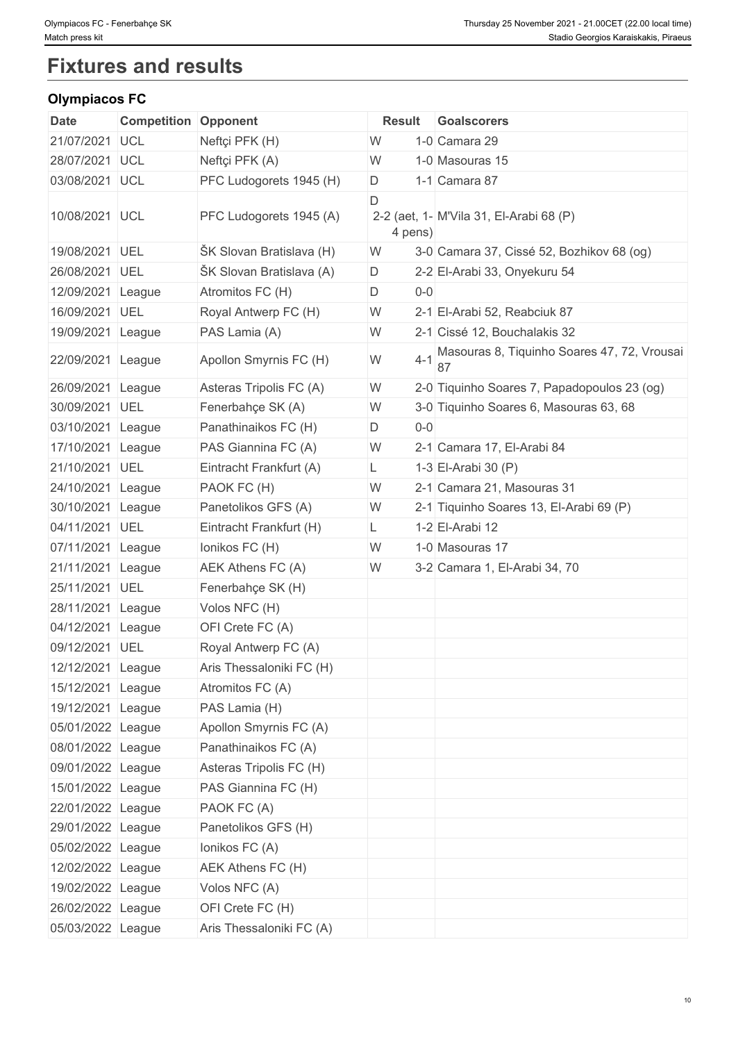# **Fixtures and results**

# **Olympiacos FC**

| <b>Date</b>       | <b>Competition Opponent</b> |                          | <b>Result</b> |         | <b>Goalscorers</b>                                |
|-------------------|-----------------------------|--------------------------|---------------|---------|---------------------------------------------------|
| 21/07/2021        | <b>UCL</b>                  | Neftçi PFK (H)           | W             |         | 1-0 Camara 29                                     |
| 28/07/2021 UCL    |                             | Neftçi PFK (A)           | W             |         | 1-0 Masouras 15                                   |
| 03/08/2021 UCL    |                             | PFC Ludogorets 1945 (H)  | D             |         | 1-1 Camara 87                                     |
| 10/08/2021 UCL    |                             | PFC Ludogorets 1945 (A)  | D<br>4 pens)  |         | 2-2 (aet, 1- M'Vila 31, El-Arabi 68 (P)           |
| 19/08/2021 UEL    |                             | ŠK Slovan Bratislava (H) | W             |         | 3-0 Camara 37, Cissé 52, Bozhikov 68 (og)         |
| 26/08/2021 UEL    |                             | ŠK Slovan Bratislava (A) | D             |         | 2-2 El-Arabi 33, Onyekuru 54                      |
| 12/09/2021 League |                             | Atromitos FC (H)         | D             | $0-0$   |                                                   |
| 16/09/2021 UEL    |                             | Royal Antwerp FC (H)     | W             |         | 2-1 El-Arabi 52, Reabciuk 87                      |
| 19/09/2021 League |                             | PAS Lamia (A)            | W             |         | 2-1 Cissé 12, Bouchalakis 32                      |
| 22/09/2021 League |                             | Apollon Smyrnis FC (H)   | W             | $4 - 1$ | Masouras 8, Tiquinho Soares 47, 72, Vrousai<br>87 |
| 26/09/2021        | League                      | Asteras Tripolis FC (A)  | W             |         | 2-0 Tiquinho Soares 7, Papadopoulos 23 (og)       |
| 30/09/2021 UEL    |                             | Fenerbahçe SK (A)        | W             |         | 3-0 Tiquinho Soares 6, Masouras 63, 68            |
| 03/10/2021 League |                             | Panathinaikos FC (H)     | D             | $0-0$   |                                                   |
| 17/10/2021 League |                             | PAS Giannina FC (A)      | W             |         | 2-1 Camara 17, El-Arabi 84                        |
| 21/10/2021 UEL    |                             | Eintracht Frankfurt (A)  | L.            |         | 1-3 El-Arabi 30 (P)                               |
| 24/10/2021 League |                             | PAOK FC (H)              | W             |         | 2-1 Camara 21, Masouras 31                        |
| 30/10/2021 League |                             | Panetolikos GFS (A)      | W             |         | 2-1 Tiquinho Soares 13, El-Arabi 69 (P)           |
| 04/11/2021 UEL    |                             | Eintracht Frankfurt (H)  | L.            |         | 1-2 El-Arabi 12                                   |
| 07/11/2021 League |                             | Ionikos FC (H)           | W             |         | 1-0 Masouras 17                                   |
| 21/11/2021        | League                      | AEK Athens FC (A)        | W             |         | 3-2 Camara 1, El-Arabi 34, 70                     |
| 25/11/2021 UEL    |                             | Fenerbahçe SK (H)        |               |         |                                                   |
| 28/11/2021 League |                             | Volos NFC (H)            |               |         |                                                   |
| 04/12/2021        | League                      | OFI Crete FC (A)         |               |         |                                                   |
| 09/12/2021 UEL    |                             | Royal Antwerp FC (A)     |               |         |                                                   |
| 12/12/2021 League |                             | Aris Thessaloniki FC (H) |               |         |                                                   |
| 15/12/2021 League |                             | Atromitos FC (A)         |               |         |                                                   |
| 19/12/2021 League |                             | PAS Lamia (H)            |               |         |                                                   |
| 05/01/2022 League |                             | Apollon Smyrnis FC (A)   |               |         |                                                   |
| 08/01/2022 League |                             | Panathinaikos FC (A)     |               |         |                                                   |
| 09/01/2022 League |                             | Asteras Tripolis FC (H)  |               |         |                                                   |
| 15/01/2022 League |                             | PAS Giannina FC (H)      |               |         |                                                   |
| 22/01/2022 League |                             | PAOK FC (A)              |               |         |                                                   |
| 29/01/2022 League |                             | Panetolikos GFS (H)      |               |         |                                                   |
| 05/02/2022 League |                             | Ionikos FC (A)           |               |         |                                                   |
| 12/02/2022 League |                             | AEK Athens FC (H)        |               |         |                                                   |
| 19/02/2022 League |                             | Volos NFC (A)            |               |         |                                                   |
| 26/02/2022 League |                             | OFI Crete FC (H)         |               |         |                                                   |
| 05/03/2022 League |                             | Aris Thessaloniki FC (A) |               |         |                                                   |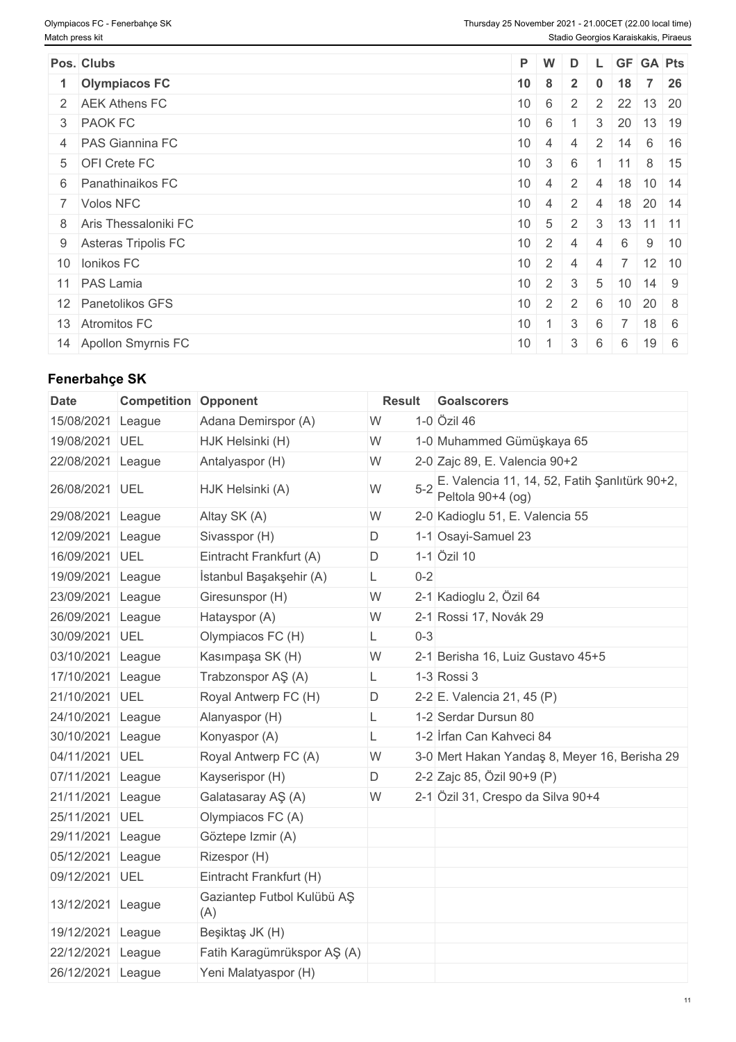| Pos. Clubs             | P W |                                  | D |  | L GF GA Pts                                       |             |
|------------------------|-----|----------------------------------|---|--|---------------------------------------------------|-------------|
| 1 Olympiacos FC        |     | $10 \quad 8 \quad 2$             |   |  | $0$ 18 7 26                                       |             |
| 2 AEK Athens FC        |     |                                  |   |  | $10 \mid 6 \mid 2 \mid 2 \mid 22 \mid 13 \mid 20$ |             |
| 3 PAOK FC              |     | $10 \ 6 \ 1$                     |   |  | $3 \mid 20 \mid 13 \mid 19$                       |             |
| 4 PAS Giannina FC      |     | $10 \quad 4 \quad 4$             |   |  | 2 14 6 16                                         |             |
| 5 OFI Crete FC         |     | $10 \mid 3 \mid 6$               |   |  | $11 \t8 \t15$                                     |             |
| 6 Panathinaikos FC     |     |                                  |   |  | $10 \mid 4 \mid 2 \mid 4 \mid 18 \mid 10 \mid 14$ |             |
| 7 Volos NFC            |     |                                  |   |  | $10 \mid 4 \mid 2 \mid 4 \mid 18 \mid 20 \mid 14$ |             |
| 8 Aris Thessaloniki FC |     |                                  |   |  | $10 \mid 5 \mid 2 \mid 3 \mid 13 \mid 11 \mid 11$ |             |
| 9 Asteras Tripolis FC  |     | $10 \mid 2 \mid 4 \mid 4 \mid 6$ |   |  |                                                   | $9 \mid 10$ |
| 10 Ionikos FC          |     | $10 \quad 2 \quad 4$             |   |  | $4 \mid 7 \mid 12 \mid 10$                        |             |
| 11 PAS Lamia           |     | $10 \mid 2 \mid 3 \mid$          |   |  | $5 \mid 10 \mid 14 \mid 9$                        |             |
| 12 Panetolikos GFS     |     |                                  |   |  | $10 \mid 2 \mid 2 \mid 6 \mid 10 \mid 20 \mid 8$  |             |
| 13 Atromitos FC        |     | $10 \mid 1 \mid 3 \mid 6$        |   |  | 18 6                                              |             |
| 14 Apollon Smyrnis FC  | 10  |                                  |   |  | $19 \mid 6$                                       |             |

# **Fenerbahçe SK**

| <b>Date</b>       | <b>Competition Opponent</b> |                                   | <b>Result</b> |         | Goalscorers                                                        |
|-------------------|-----------------------------|-----------------------------------|---------------|---------|--------------------------------------------------------------------|
| 15/08/2021        | League                      | Adana Demirspor (A)               | W             |         | 1-0 Özil 46                                                        |
| 19/08/2021        | UEL                         | HJK Helsinki (H)                  | W             |         | 1-0 Muhammed Gümüşkaya 65                                          |
| 22/08/2021        | League                      | Antalyaspor (H)                   | W             |         | 2-0 Zajc 89, E. Valencia 90+2                                      |
| 26/08/2021 UEL    |                             | HJK Helsinki (A)                  | W             | $5 - 2$ | E. Valencia 11, 14, 52, Fatih Şanlıtürk 90+2,<br>Peltola 90+4 (og) |
| 29/08/2021        | League                      | Altay SK (A)                      | W             |         | 2-0 Kadioglu 51, E. Valencia 55                                    |
| 12/09/2021        | League                      | Sivasspor (H)                     | D             |         | 1-1 Osayi-Samuel 23                                                |
| 16/09/2021        | UEL                         | Eintracht Frankfurt (A)           | D             |         | 1-1 Özil 10                                                        |
| 19/09/2021 League |                             | İstanbul Başakşehir (A)           | L.            | $0 - 2$ |                                                                    |
| 23/09/2021        | League                      | Giresunspor (H)                   | W             |         | 2-1 Kadioglu 2, Özil 64                                            |
| 26/09/2021        | League                      | Hatayspor (A)                     | W             |         | 2-1 Rossi 17, Novák 29                                             |
| 30/09/2021        | UEL                         | Olympiacos FC (H)                 | L             | $0 - 3$ |                                                                    |
| 03/10/2021 League |                             | Kasımpaşa SK (H)                  | W             |         | 2-1 Berisha 16, Luiz Gustavo 45+5                                  |
| 17/10/2021 League |                             | Trabzonspor AŞ (A)                | L             |         | 1-3 Rossi 3                                                        |
| 21/10/2021 UEL    |                             | Royal Antwerp FC (H)              | D             |         | 2-2 E. Valencia 21, 45 (P)                                         |
| 24/10/2021 League |                             | Alanyaspor (H)                    | L.            |         | 1-2 Serdar Dursun 80                                               |
| 30/10/2021        | League                      | Konyaspor (A)                     | L             |         | 1-2 Irfan Can Kahveci 84                                           |
| 04/11/2021 UEL    |                             | Royal Antwerp FC (A)              | W             |         | 3-0 Mert Hakan Yandaş 8, Meyer 16, Berisha 29                      |
| 07/11/2021        | League                      | Kayserispor (H)                   | D             |         | 2-2 Zajc 85, Özil 90+9 (P)                                         |
| 21/11/2021        | League                      | Galatasaray AŞ (A)                | W             |         | 2-1 Özil 31, Crespo da Silva 90+4                                  |
| 25/11/2021 UEL    |                             | Olympiacos FC (A)                 |               |         |                                                                    |
| 29/11/2021        | League                      | Göztepe Izmir (A)                 |               |         |                                                                    |
| 05/12/2021 League |                             | Rizespor (H)                      |               |         |                                                                    |
| 09/12/2021 UEL    |                             | Eintracht Frankfurt (H)           |               |         |                                                                    |
| 13/12/2021 League |                             | Gaziantep Futbol Kulübü AŞ<br>(A) |               |         |                                                                    |
| 19/12/2021        | League                      | Beşiktaş JK (H)                   |               |         |                                                                    |
| 22/12/2021        | League                      | Fatih Karagümrükspor AŞ (A)       |               |         |                                                                    |
| 26/12/2021 League |                             | Yeni Malatyaspor (H)              |               |         |                                                                    |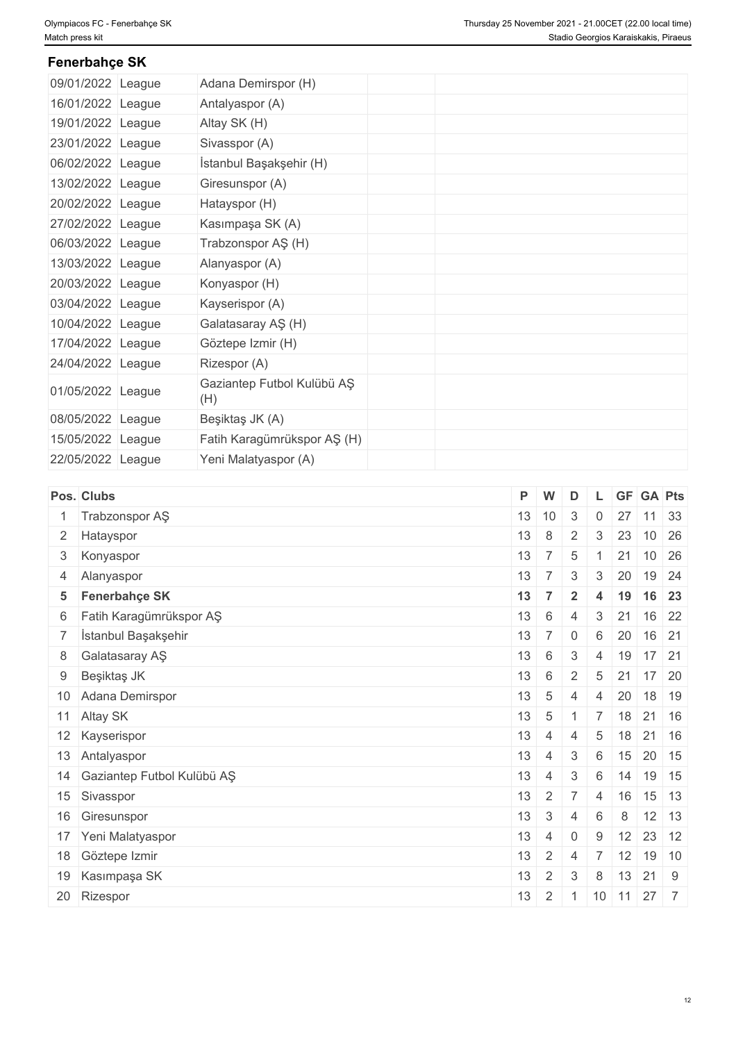# **Fenerbahçe SK**

| 09/01/2022 League | Adana Demirspor (H)               |
|-------------------|-----------------------------------|
| 16/01/2022 League | Antalyaspor (A)                   |
| 19/01/2022 League | Altay SK (H)                      |
| 23/01/2022 League | Sivasspor (A)                     |
| 06/02/2022 League | İstanbul Başakşehir (H)           |
| 13/02/2022 League | Giresunspor (A)                   |
| 20/02/2022 League | Hatayspor (H)                     |
| 27/02/2022 League | Kasımpaşa SK (A)                  |
| 06/03/2022 League | Trabzonspor AŞ (H)                |
| 13/03/2022 League | Alanyaspor (A)                    |
| 20/03/2022 League | Konyaspor (H)                     |
| 03/04/2022 League | Kayserispor (A)                   |
| 10/04/2022 League | Galatasaray AŞ (H)                |
| 17/04/2022 League | Göztepe Izmir (H)                 |
| 24/04/2022 League | Rizespor (A)                      |
| 01/05/2022 League | Gaziantep Futbol Kulübü AŞ<br>(H) |
| 08/05/2022 League | Beşiktaş JK (A)                   |
| 15/05/2022 League | Fatih Karagümrükspor AŞ (H)       |
| 22/05/2022 League | Yeni Malatyaspor (A)              |
|                   |                                   |

| Pos. Clubs                    | W<br>D<br><b>GF</b> GA Pts<br>P<br>∵L.                                        |                                   |
|-------------------------------|-------------------------------------------------------------------------------|-----------------------------------|
| 1 Trabzonspor AŞ              | 13<br>10<br>$\mathbf{3}$<br>27<br>$\mathbf 0$                                 | $11 \ 33$                         |
| 2 Hatayspor                   | 13<br>8<br>2<br>23<br>$\mathbf{3}$                                            | 10 26                             |
| 3 Konyaspor                   | 13<br>$\overline{7}$<br>21<br>5                                               | $10 \mid 26$                      |
| 4 Alanyaspor                  | $13 \mid 7 \mid$<br>20<br>3<br>3                                              | 19 24                             |
| 5 Fenerbahçe SK               | 19 16 23<br>13<br>$\overline{7}$<br>$\overline{2}$<br>$\overline{\mathbf{4}}$ |                                   |
| 6 Fatih Karagümrükspor AŞ     | 13<br>6<br>21<br>$\overline{4}$<br>3                                          | $16 \overline{\smash{\big)}\ 22}$ |
| 7 İstanbul Başakşehir         | 13<br>$7^{\circ}$<br>20 16 21<br>$\overline{0}$<br>6                          |                                   |
| 8 Galatasaray AŞ              | 13<br>$6\phantom{.}6$<br>$\mathbf{3}$<br>$19$ 17 21<br>$\overline{4}$         |                                   |
| 9 Beşiktaş JK                 | 13<br>6<br>2<br>$5 \mid 21$                                                   | 17 20                             |
| 10 Adana Demirspor            | 13<br>$5\phantom{.0}$<br>20<br>$\overline{4}$<br>4                            | 18 19                             |
| 11 Altay SK                   | $18$ 21 16<br>13<br>$5\phantom{.0}$<br>$\overline{7}$                         |                                   |
| 12 Kayserispor                | 13<br>$18$ 21 16<br>5<br>$\overline{4}$<br>4                                  |                                   |
| 13 Antalyaspor                | 13<br>3<br>$15$ 20 15<br>$\overline{4}$<br>6                                  |                                   |
| 14 Gaziantep Futbol Kulübü AŞ | 13<br>$14$ 19 15<br>$\mathbf{3}$<br>6<br>4                                    |                                   |
| 15 Sivasspor                  | 13<br>$\overline{2}$<br>$\overline{7}$<br>16<br>$\overline{4}$                | 15 13                             |
| 16 Giresunspor                | 13<br>$\mathbf{3}$<br>6<br>8<br>$\Delta$                                      | $12$ 13                           |
| 17 Yeni Malatyaspor           | 13<br>$12$ 23 12<br>$\overline{4}$<br>$\overline{0}$<br>9                     |                                   |
| 18 Göztepe Izmir              | 13<br>$\overline{2}$<br>$12$ 19 10<br>$\overline{7}$<br>$\overline{4}$        |                                   |
| 19 Kasımpaşa SK               | 13<br>$13$ 21 9<br>$\overline{2}$<br>3<br>8                                   |                                   |
| 20 Rizespor                   | 11011277<br>13<br>$\overline{2}$                                              |                                   |
|                               |                                                                               |                                   |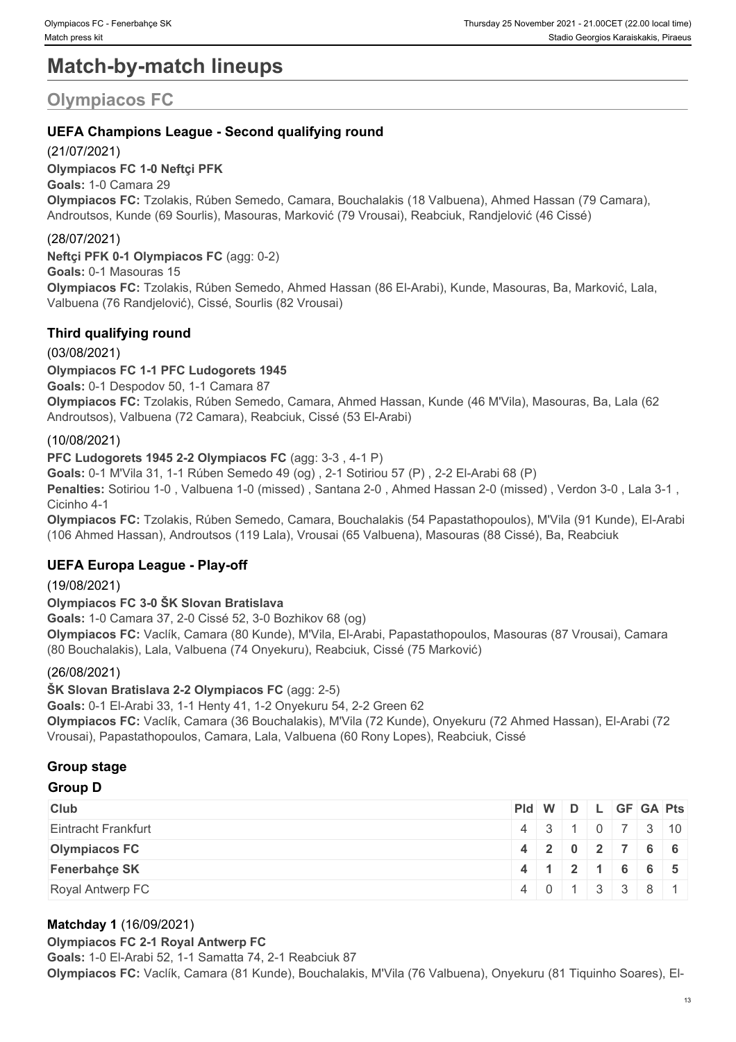# **Match-by-match lineups**

# **Olympiacos FC**

# **UEFA Champions League - Second qualifying round**

# (21/07/2021)

**Olympiacos FC 1-0 Neftçi PFK Goals:** 1-0 Camara 29 **Olympiacos FC:** Tzolakis, Rúben Semedo, Camara, Bouchalakis (18 Valbuena), Ahmed Hassan (79 Camara), Androutsos, Kunde (69 Sourlis), Masouras, Marković (79 Vrousai), Reabciuk, Randjelović (46 Cissé)

# (28/07/2021)

**Neftçi PFK 0-1 Olympiacos FC** (agg: 0-2) **Goals:** 0-1 Masouras 15 **Olympiacos FC:** Tzolakis, Rúben Semedo, Ahmed Hassan (86 El-Arabi), Kunde, Masouras, Ba, Marković, Lala, Valbuena (76 Randjelović), Cissé, Sourlis (82 Vrousai)

# **Third qualifying round**

(03/08/2021)

# **Olympiacos FC 1-1 PFC Ludogorets 1945**

**Goals:** 0-1 Despodov 50, 1-1 Camara 87

**Olympiacos FC:** Tzolakis, Rúben Semedo, Camara, Ahmed Hassan, Kunde (46 M'Vila), Masouras, Ba, Lala (62 Androutsos), Valbuena (72 Camara), Reabciuk, Cissé (53 El-Arabi)

# (10/08/2021)

**PFC Ludogorets 1945 2-2 Olympiacos FC** (agg: 3-3 , 4-1 P)

**Goals:** 0-1 M'Vila 31, 1-1 Rúben Semedo 49 (og) , 2-1 Sotiriou 57 (P) , 2-2 El-Arabi 68 (P)

**Penalties:** Sotiriou 1-0 , Valbuena 1-0 (missed) , Santana 2-0 , Ahmed Hassan 2-0 (missed) , Verdon 3-0 , Lala 3-1 , Cicinho 4-1

**Olympiacos FC:** Tzolakis, Rúben Semedo, Camara, Bouchalakis (54 Papastathopoulos), M'Vila (91 Kunde), El-Arabi (106 Ahmed Hassan), Androutsos (119 Lala), Vrousai (65 Valbuena), Masouras (88 Cissé), Ba, Reabciuk

# **UEFA Europa League - Play-off**

(19/08/2021)

# **Olympiacos FC 3-0 ŠK Slovan Bratislava**

**Goals:** 1-0 Camara 37, 2-0 Cissé 52, 3-0 Bozhikov 68 (og) **Olympiacos FC:** Vaclík, Camara (80 Kunde), M'Vila, El-Arabi, Papastathopoulos, Masouras (87 Vrousai), Camara (80 Bouchalakis), Lala, Valbuena (74 Onyekuru), Reabciuk, Cissé (75 Marković)

# (26/08/2021)

**SK Slovan Bratislava 2-2 Olympiacos FC** (agg: 2-5)

**Goals:** 0-1 El-Arabi 33, 1-1 Henty 41, 1-2 Onyekuru 54, 2-2 Green 62

**Olympiacos FC:** Vaclík, Camara (36 Bouchalakis), M'Vila (72 Kunde), Onyekuru (72 Ahmed Hassan), El-Arabi (72 Vrousai), Papastathopoulos, Camara, Lala, Valbuena (60 Rony Lopes), Reabciuk, Cissé

# **Group stage**

# **Group D**

| Club                 |  |  | $PId \mid W \mid D \mid L \mid GF \mid GA \mid Pts \mid$ |  |
|----------------------|--|--|----------------------------------------------------------|--|
| Eintracht Frankfurt  |  |  | 4 3 1 0 7 3 10                                           |  |
| <b>Olympiacos FC</b> |  |  | 4 2 0 2 7 6 6                                            |  |
| <b>Fenerbahce SK</b> |  |  | $4$ 1 2 1 6 6 5                                          |  |
| Royal Antwerp FC     |  |  | 4 0 1 3 3 8 1                                            |  |

# **Matchday 1** (16/09/2021)

**Olympiacos FC 2-1 Royal Antwerp FC Goals:** 1-0 El-Arabi 52, 1-1 Samatta 74, 2-1 Reabciuk 87 **Olympiacos FC:** Vaclík, Camara (81 Kunde), Bouchalakis, M'Vila (76 Valbuena), Onyekuru (81 Tiquinho Soares), El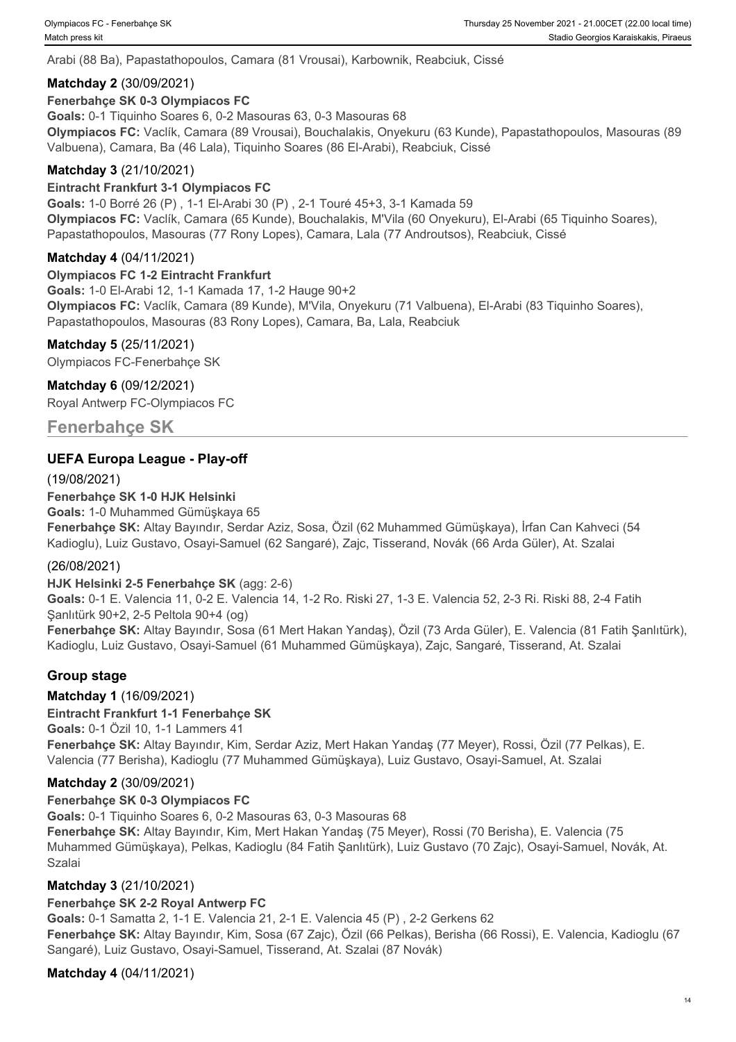Arabi (88 Ba), Papastathopoulos, Camara (81 Vrousai), Karbownik, Reabciuk, Cissé

# **Matchday 2** (30/09/2021)

#### **Fenerbahçe SK 0-3 Olympiacos FC**

**Goals:** 0-1 Tiquinho Soares 6, 0-2 Masouras 63, 0-3 Masouras 68 **Olympiacos FC:** Vaclík, Camara (89 Vrousai), Bouchalakis, Onyekuru (63 Kunde), Papastathopoulos, Masouras (89 Valbuena), Camara, Ba (46 Lala), Tiquinho Soares (86 El-Arabi), Reabciuk, Cissé

# **Matchday 3** (21/10/2021)

#### **Eintracht Frankfurt 3-1 Olympiacos FC**

**Goals:** 1-0 Borré 26 (P) , 1-1 El-Arabi 30 (P) , 2-1 Touré 45+3, 3-1 Kamada 59 **Olympiacos FC:** Vaclík, Camara (65 Kunde), Bouchalakis, M'Vila (60 Onyekuru), El-Arabi (65 Tiquinho Soares), Papastathopoulos, Masouras (77 Rony Lopes), Camara, Lala (77 Androutsos), Reabciuk, Cissé

### **Matchday 4** (04/11/2021)

#### **Olympiacos FC 1-2 Eintracht Frankfurt**

**Goals:** 1-0 El-Arabi 12, 1-1 Kamada 17, 1-2 Hauge 90+2 **Olympiacos FC:** Vaclík, Camara (89 Kunde), M'Vila, Onyekuru (71 Valbuena), El-Arabi (83 Tiquinho Soares), Papastathopoulos, Masouras (83 Rony Lopes), Camara, Ba, Lala, Reabciuk

#### **Matchday 5** (25/11/2021)

Olympiacos FC-Fenerbahçe SK

#### **Matchday 6** (09/12/2021)

Royal Antwerp FC-Olympiacos FC

**Fenerbahçe SK**

# **UEFA Europa League - Play-off**

(19/08/2021)

# **Fenerbahçe SK 1-0 HJK Helsinki**

**Goals:** 1-0 Muhammed Gümüşkaya 65

**Fenerbahçe SK:** Altay Bayındır, Serdar Aziz, Sosa, Özil (62 Muhammed Gümüşkaya), İrfan Can Kahveci (54 Kadioglu), Luiz Gustavo, Osayi-Samuel (62 Sangaré), Zajc, Tisserand, Novák (66 Arda Güler), At. Szalai

#### (26/08/2021)

#### **HJK Helsinki 2-5 Fenerbahçe SK** (agg: 2-6)

**Goals:** 0-1 E. Valencia 11, 0-2 E. Valencia 14, 1-2 Ro. Riski 27, 1-3 E. Valencia 52, 2-3 Ri. Riski 88, 2-4 Fatih Şanlıtürk 90+2, 2-5 Peltola 90+4 (og)

**Fenerbahçe SK:** Altay Bayındır, Sosa (61 Mert Hakan Yandaş), Özil (73 Arda Güler), E. Valencia (81 Fatih Şanlıtürk), Kadioglu, Luiz Gustavo, Osayi-Samuel (61 Muhammed Gümüşkaya), Zajc, Sangaré, Tisserand, At. Szalai

# **Group stage**

# **Matchday 1** (16/09/2021)

#### **Eintracht Frankfurt 1-1 Fenerbahçe SK**

**Goals:** 0-1 Özil 10, 1-1 Lammers 41 **Fenerbahçe SK:** Altay Bayındır, Kim, Serdar Aziz, Mert Hakan Yandaş (77 Meyer), Rossi, Özil (77 Pelkas), E. Valencia (77 Berisha), Kadioglu (77 Muhammed Gümüşkaya), Luiz Gustavo, Osayi-Samuel, At. Szalai

# **Matchday 2** (30/09/2021)

# **Fenerbahçe SK 0-3 Olympiacos FC**

**Goals:** 0-1 Tiquinho Soares 6, 0-2 Masouras 63, 0-3 Masouras 68

**Fenerbahçe SK:** Altay Bayındır, Kim, Mert Hakan Yandaş (75 Meyer), Rossi (70 Berisha), E. Valencia (75 Muhammed Gümüşkaya), Pelkas, Kadioglu (84 Fatih Şanlıtürk), Luiz Gustavo (70 Zajc), Osayi-Samuel, Novák, At. Szalai

# **Matchday 3** (21/10/2021)

#### **Fenerbahçe SK 2-2 Royal Antwerp FC**

**Goals:** 0-1 Samatta 2, 1-1 E. Valencia 21, 2-1 E. Valencia 45 (P) , 2-2 Gerkens 62 **Fenerbahçe SK:** Altay Bayındır, Kim, Sosa (67 Zajc), Özil (66 Pelkas), Berisha (66 Rossi), E. Valencia, Kadioglu (67 Sangaré), Luiz Gustavo, Osayi-Samuel, Tisserand, At. Szalai (87 Novák)

# **Matchday 4** (04/11/2021)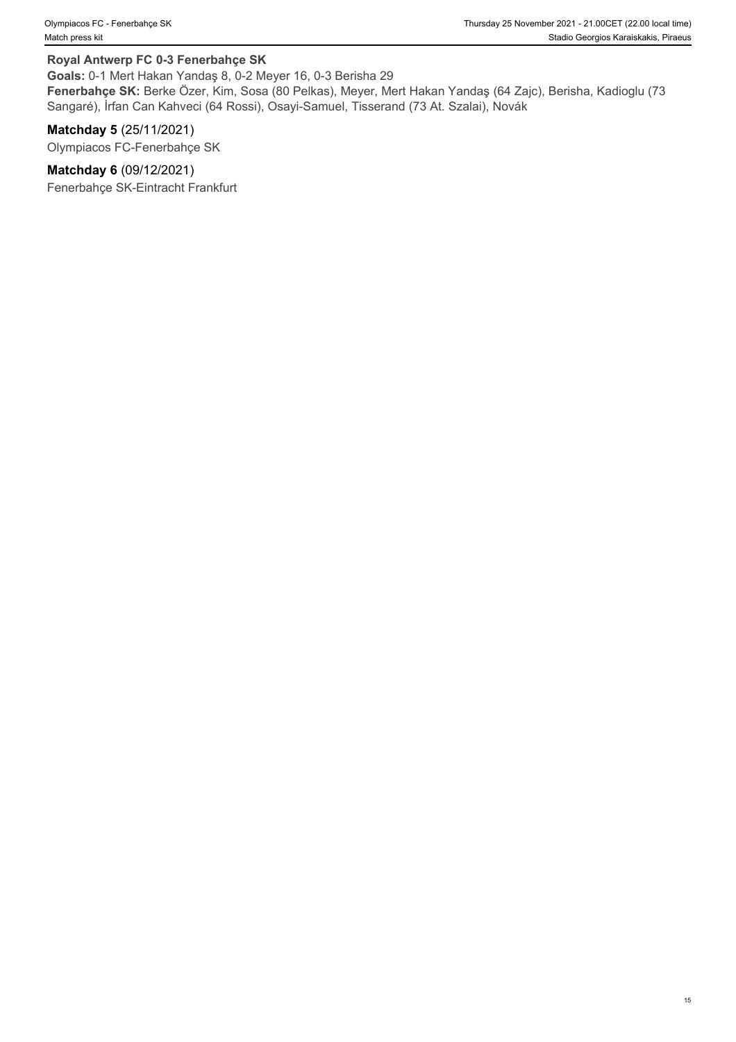#### **Royal Antwerp FC 0-3 Fenerbahçe SK**

**Goals:** 0-1 Mert Hakan Yandaş 8, 0-2 Meyer 16, 0-3 Berisha 29

**Fenerbahçe SK:** Berke Özer, Kim, Sosa (80 Pelkas), Meyer, Mert Hakan Yandaş (64 Zajc), Berisha, Kadioglu (73 Sangaré), İrfan Can Kahveci (64 Rossi), Osayi-Samuel, Tisserand (73 At. Szalai), Novák

**Matchday 5** (25/11/2021) Olympiacos FC-Fenerbahçe SK

**Matchday 6** (09/12/2021)

Fenerbahçe SK-Eintracht Frankfurt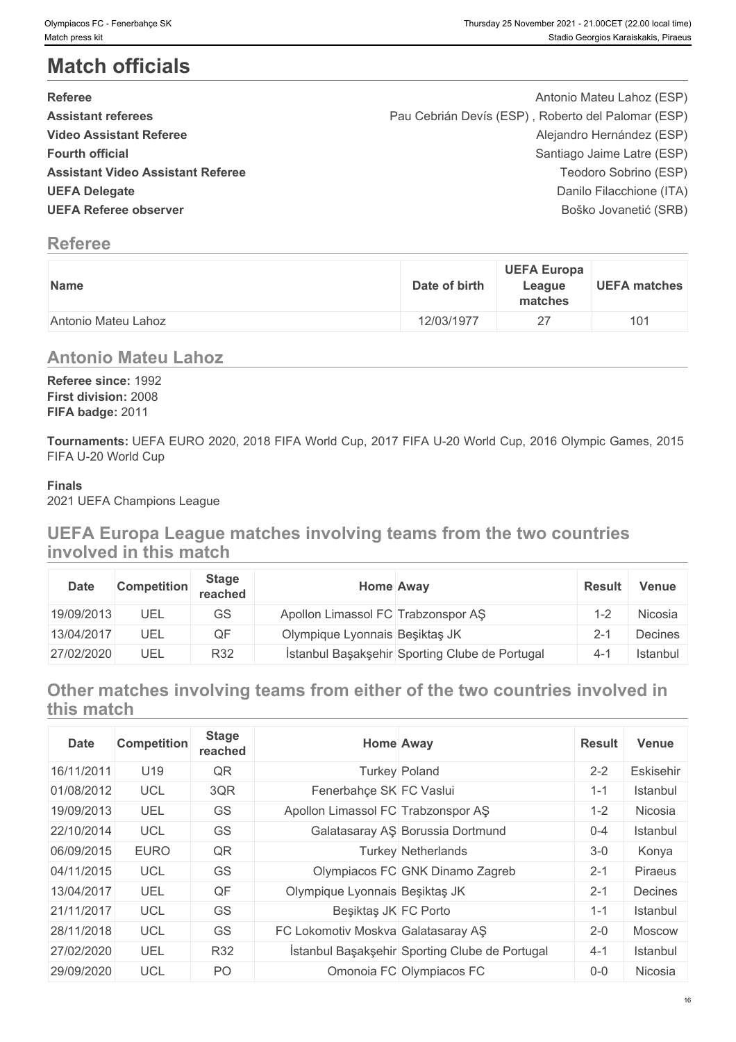# **Match officials**

| <b>Referee</b>                           | Antonio Mateu Lahoz (ESP)                          |
|------------------------------------------|----------------------------------------------------|
| <b>Assistant referees</b>                | Pau Cebrián Devís (ESP), Roberto del Palomar (ESP) |
| <b>Video Assistant Referee</b>           | Alejandro Hernández (ESP)                          |
| <b>Fourth official</b>                   | Santiago Jaime Latre (ESP)                         |
| <b>Assistant Video Assistant Referee</b> | Teodoro Sobrino (ESP)                              |
| <b>UEFA Delegate</b>                     | Danilo Filacchione (ITA)                           |
| <b>UEFA Referee observer</b>             | Boško Jovanetić (SRB)                              |

# **Referee**

| Name                | <b>UEFA Europa</b><br>Date of birth<br>League<br>matches | <b>UEFA matches</b> |
|---------------------|----------------------------------------------------------|---------------------|
| Antonio Mateu Lahoz | o<br>12/03/1977<br><u>_</u>                              | 10 <sup>1</sup>     |

# **Antonio Mateu Lahoz**

**Referee since:** 1992 **First division:** 2008 **FIFA badge:** 2011

**Tournaments:** UEFA EURO 2020, 2018 FIFA World Cup, 2017 FIFA U-20 World Cup, 2016 Olympic Games, 2015 FIFA U-20 World Cup

# **Finals**

2021 UEFA Champions League

# **UEFA Europa League matches involving teams from the two countries involved in this match**

| Date       | <b>Competition</b> | <b>Stage</b><br>reached | Home Away                          |                                                | <b>Result</b> | <b>Venue</b> |
|------------|--------------------|-------------------------|------------------------------------|------------------------------------------------|---------------|--------------|
| 19/09/2013 | UEL                | GS                      | Apollon Limassol FC Trabzonspor AS |                                                | $-2$          | Nicosia      |
| 13/04/2017 | UEL                | QF                      | Olympique Lyonnais Beşiktaş JK     |                                                | $2 - 1$       | Decines      |
| 27/02/2020 | UEL                | R32                     |                                    | İstanbul Başakşehir Sporting Clube de Portugal | 4-            | Istanbul     |

# **Other matches involving teams from either of the two countries involved in this match**

| <b>Date</b> | <b>Competition</b> | <b>Stage</b><br>reached | <b>Home Away</b>                   |                                                | <b>Result</b> | <b>Venue</b>  |
|-------------|--------------------|-------------------------|------------------------------------|------------------------------------------------|---------------|---------------|
| 16/11/2011  | U19                | QR                      | <b>Turkey Poland</b>               |                                                | $2 - 2$       | Eskisehir     |
| 01/08/2012  | <b>UCL</b>         | 3QR                     | Fenerbahçe SK FC Vaslui            |                                                | $1 - 1$       | Istanbul      |
| 19/09/2013  | UEL                | GS                      | Apollon Limassol FC Trabzonspor AS |                                                | $1 - 2$       | Nicosia       |
| 22/10/2014  | <b>UCL</b>         | GS                      |                                    | Galatasaray AS Borussia Dortmund               | $0 - 4$       | Istanbul      |
| 06/09/2015  | <b>EURO</b>        | QR                      |                                    | <b>Turkey Netherlands</b>                      | $3 - 0$       | Konya         |
| 04/11/2015  | <b>UCL</b>         | GS                      |                                    | Olympiacos FC GNK Dinamo Zagreb                | $2 - 1$       | Piraeus       |
| 13/04/2017  | UEL                | QF                      | Olympique Lyonnais Beşiktaş JK     |                                                | $2 - 1$       | Decines       |
| 21/11/2017  | <b>UCL</b>         | GS                      | Beşiktaş JK FC Porto               |                                                | 1-1           | Istanbul      |
| 28/11/2018  | <b>UCL</b>         | GS                      | FC Lokomotiv Moskva Galatasaray AŞ |                                                | $2 - 0$       | <b>Moscow</b> |
| 27/02/2020  | UEL                | R32                     |                                    | İstanbul Başakşehir Sporting Clube de Portugal | $4 - 1$       | Istanbul      |
| 29/09/2020  | <b>UCL</b>         | PO                      |                                    | Omonoia FC Olympiacos FC                       | $0-0$         | Nicosia       |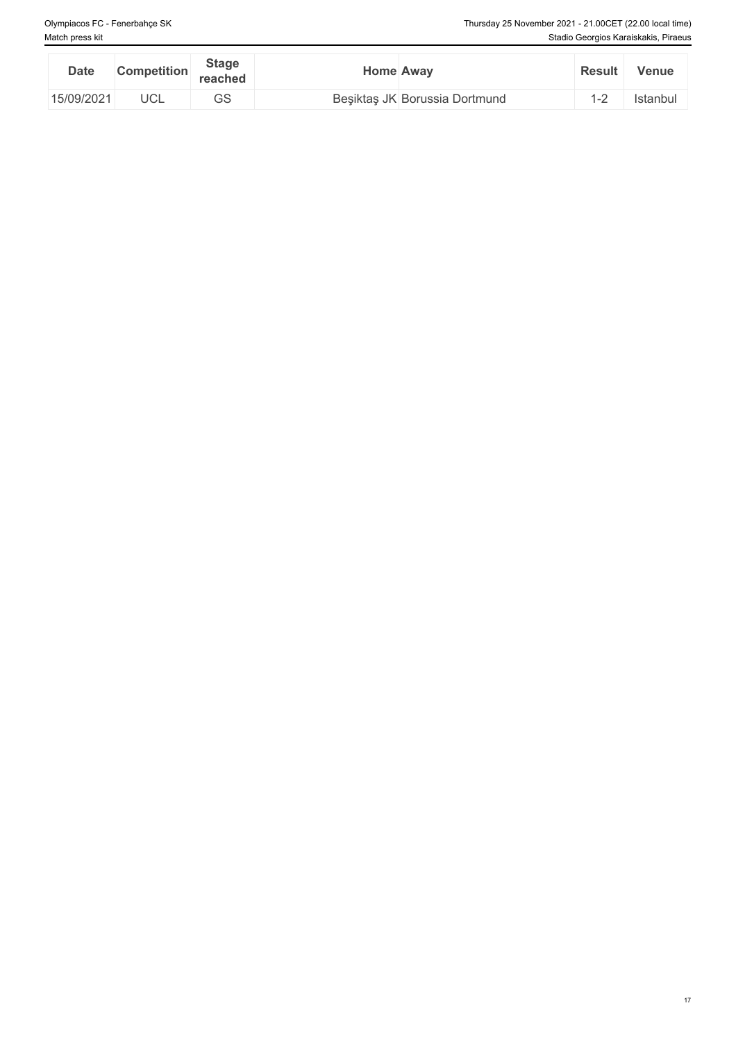| <b>Date</b> | <b>Competition</b> | <b>Stage</b><br>reached | Home Away |                               | <b>Result</b>                  | Venue    |
|-------------|--------------------|-------------------------|-----------|-------------------------------|--------------------------------|----------|
| 15/09/2021  | <b>UCL</b>         | $\cap$<br>UU            |           | Beşiktaş JK Borussia Dortmund | $\overline{\phantom{0}}$<br>__ | Istanbur |